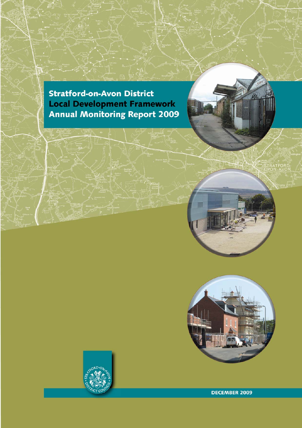**Stratford-on-Avon District Local Development Framework<br>Annual Monitoring Report 2009** 



**TRATFORD**<br>PON-AVON





**DECEMBER 2009**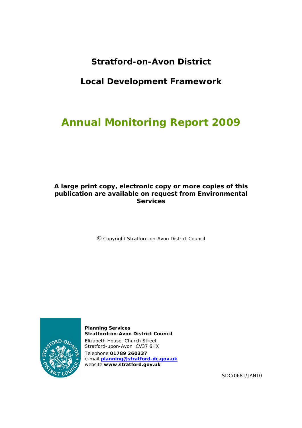# **Stratford-on-Avon District**

## **Local Development Framework**

# **Annual Monitoring Report 2009**

## **A large print copy, electronic copy or more copies of this publication are available on request from Environmental Services**

Copyright Stratford-on-Avon District Council



**Planning Services Stratford-on-Avon District Council**  Elizabeth House, Church Street Stratford-upon-Avon CV37 6HX Telephone **01789 260337** e-mail **planning@stratford-dc.gov.uk** website **www.stratford.gov.uk**

SDC/0681/JAN10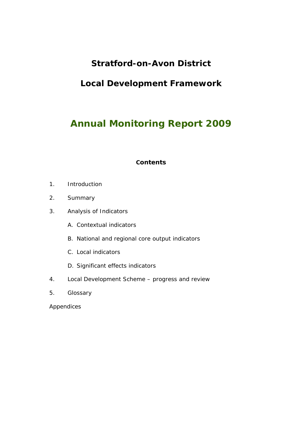# **Stratford-on-Avon District**

# **Local Development Framework**

# **Annual Monitoring Report 2009**

## **Contents**

- 1. Introduction
- 2. Summary
- 3. Analysis of Indicators
	- A. Contextual indicators
	- B. National and regional core output indicators
	- C. Local indicators
	- D. Significant effects indicators
- 4. Local Development Scheme progress and review
- 5. Glossary

Appendices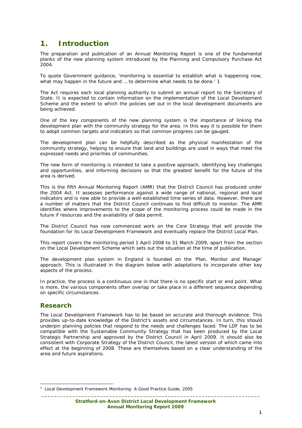## **1. Introduction**

The preparation and publication of an Annual Monitoring Report is one of the fundamental planks of the new planning system introduced by the Planning and Compulsory Purchase Act  $2004.$ 

To quote Government guidance, 'monitoring is essential to establish what is happening now, what may happen in the future and … to determine what needs to be done.' 1

The Act requires each local planning authority to submit an annual report to the Secretary of State. It is expected to contain information on the implementation of the Local Development Scheme and the extent to which the policies set out in the local development documents are being achieved.

One of the key components of the new planning system is the importance of linking the development plan with the community strategy for the area. In this way it is possible for them to adopt common targets and indicators so that common progress can be gauged.

The development plan can be helpfully described as the physical manifestation of the community strategy, helping to ensure that land and buildings are used in ways that meet the expressed needs and priorities of communities.

The new form of monitoring is intended to take a positive approach, identifying key challenges and opportunities, and informing decisions so that the greatest benefit for the future of the area is derived.

This is the fifth Annual Monitoring Report (AMR) that the District Council has produced under the 2004 Act. It assesses performance against a wide range of national, regional and local indicators and is now able to provide a well-established time series of data. However, there are a number of matters that the District Council continues to find difficult to monitor. The AMR identifies where improvements to the scope of the monitoring process could be made in the future if resources and the availability of data permit.

The District Council has now commenced work on the Core Strategy that will provide the foundation for its Local Development Framework and eventually replace the District Local Plan.

This report covers the monitoring period 1 April 2008 to 31 March 2009, apart from the section on the Local Development Scheme which sets out the situation at the time of publication.

The development plan system in England is founded on the 'Plan, Monitor and Manage' approach. This is illustrated in the diagram below with adaptations to incorporate other key aspects of the process.

In practice, the process is a continuous one in that there is no specific start or end point. What is more, the various components often overlap or take place in a different sequence depending on specific circumstances.

## **Research**

ł

The Local Development Framework has to be based on accurate and thorough evidence. This provides up-to-date knowledge of the District's assets and circumstances. In turn, this should underpin planning policies that respond to the needs and challenges faced. The LDF has to be compatible with the Sustainable Community Strategy that has been produced by the Local Strategic Partnership and approved by the District Council in April 2009. It should also be consistent with Corporate Strategy of the District Council, the latest version of which came into effect at the beginning of 2008. These are themselves based on a clear understanding of the area and future aspirations.

<sup>&</sup>lt;sup>1</sup> Local Development Framework Monitoring: A Good Practice Guide, 2005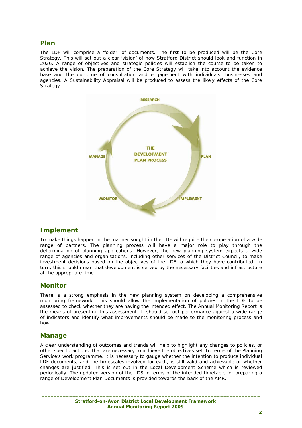## **Plan**

The LDF will comprise a 'folder' of documents. The first to be produced will be the Core Strategy. This will set out a clear 'vision' of how Stratford District should look and function in 2026. A range of objectives and strategic policies will establish the course to be taken to achieve the vision. The preparation of the Core Strategy will take into account the evidence base and the outcome of consultation and engagement with individuals, businesses and agencies. A Sustainability Appraisal will be produced to assess the likely effects of the Core Strategy.



## **Implement**

To make things happen in the manner sought in the LDF will require the co-operation of a wide range of partners. The planning process will have a major role to play through the determination of planning applications. However, the new planning system expects a wide range of agencies and organisations, including other services of the District Council, to make investment decisions based on the objectives of the LDF to which they have contributed. In turn, this should mean that development is served by the necessary facilities and infrastructure at the appropriate time.

## **Monitor**

There is a strong emphasis in the new planning system on developing a comprehensive monitoring framework. This should allow the implementation of policies in the LDF to be assessed to check whether they are having the intended effect. The Annual Monitoring Report is the means of presenting this assessment. It should set out performance against a wide range of indicators and identify what improvements should be made to the monitoring process and how.

## **Manage**

A clear understanding of outcomes and trends will help to highlight any changes to policies, or other specific actions, that are necessary to achieve the objectives set. In terms of the Planning Service's work programme, it is necessary to gauge whether the intention to produce individual LDF documents, and the timescales involved for each, is still valid and achievable or whether changes are justified. This is set out in the Local Development Scheme which is reviewed periodically. The updated version of the LDS in terms of the intended timetable for preparing a range of Development Plan Documents is provided towards the back of the AMR.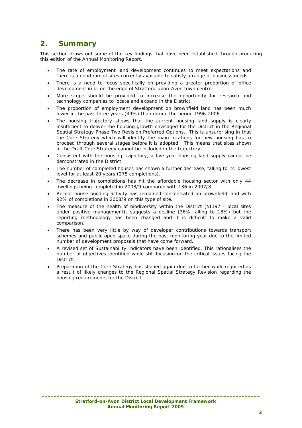## **2. Summary**

This section draws out some of the key findings that have been established through producing this edition of the Annual Monitoring Report.

- The rate of employment land development continues to meet expectations and there is a good mix of sites currently available to satisfy a range of business needs.
- There is a need to focus specifically on providing a greater proportion of office development in or on the edge of Stratford-upon-Avon town centre.
- More scope should be provided to increase the opportunity for research and technology companies to locate and expand in the District.
- The proportion of employment development on brownfield land has been much lower in the past three years (39%) than during the period 1996-2006.
- The housing trajectory shows that the current housing land supply is clearly insufficient to deliver the housing growth envisaged for the District in the Regional Spatial Strategy Phase Two Revision Preferred Options. This is unsurprising in that the Core Strategy which will identify the main locations for new housing has to proceed through several stages before it is adopted. This means that sites shown in the Draft Core Strategy cannot be included in the trajectory.
- Consistent with the housing trajectory, a five year housing land supply cannot be demonstrated in the District.
- The number of completed houses has shown a further decrease, falling to its lowest level for at least 20 years (275 completions).
- The decrease in completions has hit the affordable housing sector with only 44 dwellings being completed in 2008/9 compared with 136 in 2007/8.
- Recent house building activity has remained concentrated on brownfield land with 92% of completions in 2008/9 on this type of site.
- The measure of the health of biodiversity within the District (NI197 local sites under positive management), suggests a decline (36% falling to 18%) but the reporting methodology has been changed and it is difficult to make a valid comparison.
- There has been very little by way of developer contributions towards transport schemes and public open space during the past monitoring year due to the limited number of development proposals that have come forward.
- A revised set of Sustainability Indicators have been identified. This rationalises the number of objectives identified while still focusing on the critical issues facing the District.
- Preparation of the Core Strategy has slipped again due to further work required as a result of likely changes to the Regional Spatial Strategy Revision regarding the housing requirements for the District.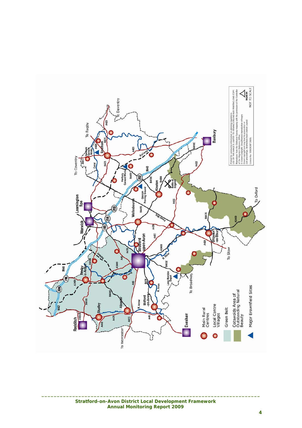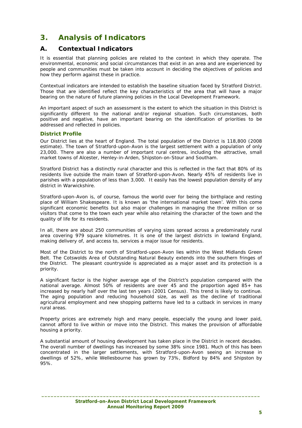## **3. Analysis of Indicators**

## **A. Contextual Indicators**

It is essential that planning policies are related to the context in which they operate. The environmental, economic and social circumstances that exist in an area and are experienced by people and communities must be taken into account in deciding the objectives of policies and how they perform against these in practice.

Contextual indicators are intended to establish the baseline situation faced by Stratford District. Those that are identified reflect the key characteristics of the area that will have a major bearing on the nature of future planning policies in the Local Development Framework.

An important aspect of such an assessment is the extent to which the situation in this District is significantly different to the national and/or regional situation. Such circumstances, both positive and negative, have an important bearing on the identification of priorities to be addressed and reflected in policies.

## **District Profile**

Our District lies at the heart of England. The total population of the District is 118,800 (2008 estimate). The town of Stratford-upon-Avon is the largest settlement with a population of only 23,000. There are also a number of important rural centres, including the attractive, small market towns of Alcester, Henley-in-Arden, Shipston-on-Stour and Southam.

Stratford District has a distinctly rural character and this is reflected in the fact that 80% of its residents live outside the main town of Stratford-upon-Avon. Nearly 45% of residents live in parishes with a population of less than 3,000. It easily has the lowest population density of any district in Warwickshire.

Stratford-upon-Avon is, of course, famous the world over for being the birthplace and resting place of William Shakespeare. It is known as 'the international market town'. With this come significant economic benefits but also major challenges in managing the three million or so visitors that come to the town each year while also retaining the character of the town and the quality of life for its residents.

In all, there are about 250 communities of varying sizes spread across a predominately rural area covering 979 square kilometres. It is one of the largest districts in lowland England, making delivery of, and access to, services a major issue for residents.

Most of the District to the north of Stratford-upon-Avon lies within the West Midlands Green Belt. The Cotswolds Area of Outstanding Natural Beauty extends into the southern fringes of the District. The pleasant countryside is appreciated as a major asset and its protection is a priority.

A significant factor is the higher average age of the District's population compared with the national average. Almost 50% of residents are over 45 and the proportion aged 85+ has increased by nearly half over the last ten years (2001 Census). This trend is likely to continue. The aging population and reducing household size, as well as the decline of traditional agricultural employment and new shopping patterns have led to a cutback in services in many rural areas.

Property prices are extremely high and many people, especially the young and lower paid, cannot afford to live within or move into the District. This makes the provision of affordable housing a priority.

A substantial amount of housing development has taken place in the District in recent decades. The overall number of dwellings has increased by some 38% since 1981. Much of this has been concentrated in the larger settlements, with Stratford-upon-Avon seeing an increase in dwellings of 52%, while Wellesbourne has grown by 73%, Bidford by 84% and Shipston by 95%.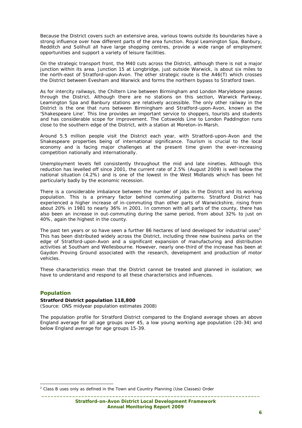Because the District covers such an extensive area, various towns outside its boundaries have a strong influence over how different parts of the area function. Royal Leamington Spa, Banbury, Redditch and Solihull all have large shopping centres, provide a wide range of employment opportunities and support a variety of leisure facilities.

On the strategic transport front, the M40 cuts across the District, although there is not a major junction within its area. Junction 15 at Longbridge, just outside Warwick, is about six miles to the north-east of Stratford-upon-Avon. The other strategic route is the A46(T) which crosses the District between Evesham and Warwick and forms the northern bypass to Stratford town.

As for intercity railways, the Chiltern Line between Birmingham and London Marylebone passes through the District. Although there are no stations on this section, Warwick Parkway, Leamington Spa and Banbury stations are relatively accessible. The only other railway in the District is the one that runs between Birmingham and Stratford-upon-Avon, known as the 'Shakespeare Line'. This line provides an important service to shoppers, tourists and students and has considerable scope for improvement. The Cotswolds Line to London Paddington runs close to the southern edge of the District, with a station at Moreton-in-Marsh.

Around 5.5 million people visit the District each year, with Stratford-upon-Avon and the Shakespeare properties being of international significance. Tourism is crucial to the local economy and is facing major challenges at the present time given the ever-increasing competition nationally and internationally.

Unemployment levels fell consistently throughout the mid and late nineties. Although this reduction has levelled off since 2001, the current rate of 2.5% (August 2009) is well below the national situation (4.2%) and is one of the lowest in the West Midlands which has been hit particularly badly by the economic recession.

There is a considerable imbalance between the number of jobs in the District and its working population. This is a primary factor behind commuting patterns. Stratford District has experienced a higher increase of in-commuting than other parts of Warwickshire, rising from about 20% in 1981 to nearly 36% in 2001. In common with all parts of the county, there has also been an increase in out-commuting during the same period, from about 32% to just on 40%, again the highest in the county.

The past ten years or so have seen a further 86 hectares of land developed for industrial uses<sup>2.</sup> This has been distributed widely across the District, including three new business parks on the edge of Stratford-upon-Avon and a significant expansion of manufacturing and distribution activities at Southam and Wellesbourne. However, nearly one-third of the increase has been at Gaydon Proving Ground associated with the research, development and production of motor vehicles.

These characteristics mean that the District cannot be treated and planned in isolation; we have to understand and respond to all these characteristics and influences.

## **Population**

#### **Stratford District population 118,800**

*(Source: ONS midyear population estimates 2008)*

The population profile for Stratford District compared to the England average shows an above England average for all age groups over 45, a low young working age population (20-34) and below England average for age groups 15-39.

 2 Class B uses only as defined in the Town and Country Planning (Use Classes) Order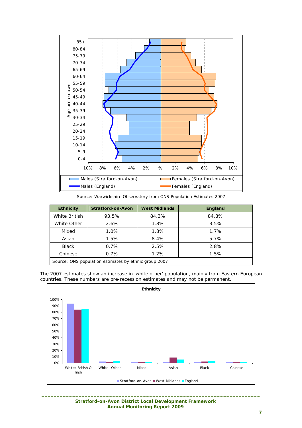

*Source: Warwickshire Observatory from ONS Population Estimates 2007* 

| <b>Ethnicity</b>                                      | <b>Stratford-on-Avon</b> | <b>West Midlands</b> | <b>England</b> |  |  |
|-------------------------------------------------------|--------------------------|----------------------|----------------|--|--|
| White British                                         | 93.5%                    | 84.3%                | 84.8%          |  |  |
| White Other                                           | 2.6%                     | 1.8%                 | 3.5%           |  |  |
| Mixed                                                 | 1.0%                     | 1.8%                 | 1.7%           |  |  |
| Asian                                                 | 1.5%                     | 8.4%                 | 5.7%           |  |  |
| <b>Black</b>                                          | $0.7\%$                  | 2.5%                 | 2.8%           |  |  |
| Chinese                                               | 0.7%                     | 1.2%                 | 1.5%           |  |  |
| Source: ONS population estimates by ethnic group 2007 |                          |                      |                |  |  |

The 2007 estimates show an increase in 'white other' population, mainly from Eastern European countries. These numbers are pre-recession estimates and may not be permanent.



 **Stratford-on-Avon District Local Development Framework Annual Monitoring Report 2009**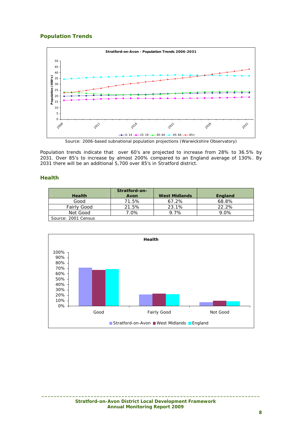## **Population Trends**



*Source: 2006-based subnational population projections (Warwickshire Observatory)* 

Population trends indicate that over 60's are projected to increase from 28% to 36.5% by 2031. Over 85's to increase by almost 200% compared to an England average of 130%. By 2031 there will be an additional 5,700 over 85's in Stratford district.

## **Health**

|                     | Stratford-on- |                      |         |
|---------------------|---------------|----------------------|---------|
| <b>Health</b>       | Avon          | <b>West Midlands</b> | England |
| Good                | 71.5%         | 67.2%                | 68.8%   |
| Fairly Good         | 21.5%         | 23.1%                | 22.2%   |
| Not Good            | 7.0%          | 9.7%                 | 9.0%    |
| Source: 2001 Census |               |                      |         |

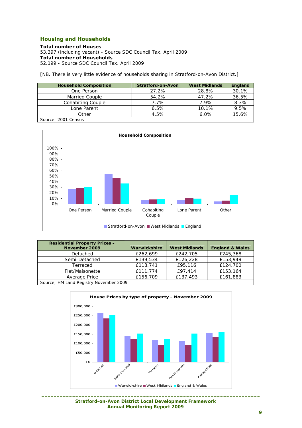## **Housing and Households**

**Total number of Houses**  53,397 (including vacant) - Source SDC Council Tax, April 2009 **Total number of Households**  52,199 - Source SDC Council Tax, April 2009

[NB. There is very little evidence of households sharing in Stratford-on-Avon District.]

| <b>Household Composition</b> | Stratford-on-Avon | <b>West Midlands</b> | England |
|------------------------------|-------------------|----------------------|---------|
| One Person                   | 27.2%             | 28.8%                | 30.1%   |
| Married Couple               | 54.2%             | 47.2%                | 36.5%   |
| Cohabiting Couple            | 7.7%              | 7.9%                 | 8.3%    |
| Lone Parent                  | 6.5%              | 10.1%                | 9.5%    |
| Other                        | 4.5%              | 6.0%                 | 15.6%   |
| Source: 2001 Census          |                   |                      |         |

**Household Composition** 0% 10% 20% 30% 40% 50% 60% 70% 80% 90% 100% One Person Married Couple Cohabiting Couple Lone Parent Other ■ Stratford-on-Avon ■ West Midlands ■ England

| Warwickshire | <b>West Midlands</b> |                            |
|--------------|----------------------|----------------------------|
|              |                      | <b>England &amp; Wales</b> |
| £262,699     | £242,705             | £245,368                   |
| £139,534     | £126,228             | £153,949                   |
| £118,741     | £95,116              | £124,700                   |
| £111,774     | £97,414              | £153,164                   |
| £156,709     | £137,493             | £161,883                   |
|              |                      |                            |
|              |                      |                            |



 **Stratford-on-Avon District Local Development Framework Annual Monitoring Report 2009**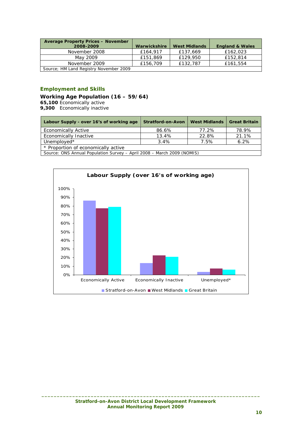| <b>Average Property Prices - November</b><br>2008-2009 | Warwickshire | <b>West Midlands</b> | <b>England &amp; Wales</b> |
|--------------------------------------------------------|--------------|----------------------|----------------------------|
| November 2008                                          | £164.917     | £137.669             | £162,023                   |
| May 2009                                               | £151,869     | £129,950             | £152,814                   |
| November 2009                                          | £156,709     | £132,787             | £161,554                   |
| Source; HM Land Registry November 2009                 |              |                      |                            |

## **Employment and Skills**

### **Working Age Population (16 – 59/64)**

**65,100** Economically active

**9,300** Economically inactive

| Labour Supply - over 16's of working age | <b>Stratford-on-Avon</b>         | <b>West Midlands</b> | <b>Great Britain</b> |
|------------------------------------------|----------------------------------|----------------------|----------------------|
| <b>Economically Active</b>               | 86.6%                            | 77.2%                | 78.9%                |
| Economically Inactive                    | 13.4%                            | 22.8%                | 21.1%                |
| Unemployed*                              | $3.4\%$                          | 7.5%                 | 6.2%                 |
| * Proportion of economically active      |                                  |                      |                      |
| Course ONS Appual Dopulation Survey      | $April 2009 14arch 2000 (NOMIC)$ |                      |                      |

*Source: ONS Annual Population Survey – April 2008 – March 2009 (NOMIS)* 

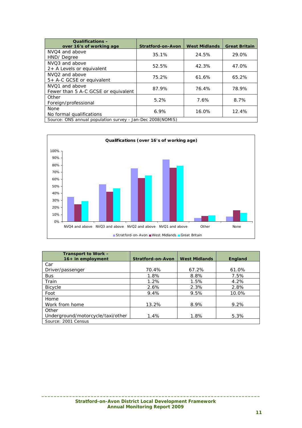| <b>Qualifications -</b><br>over 16's of working age        | Stratford-on-Avon | <b>West Midlands</b> | <b>Great Britain</b> |  |  |  |
|------------------------------------------------------------|-------------------|----------------------|----------------------|--|--|--|
| NVO <sub>4</sub> and above<br>HND/Degree                   | 35.1%             | 24.5%                | 29.0%                |  |  |  |
| NVO <sub>3</sub> and above<br>2+ A Levels or equivalent    | 52.5%             | 42.3%                | 47.0%                |  |  |  |
| NVO <sub>2</sub> and above<br>5+ A-C GCSE or equivalent    | 75.2%             | 61.6%                | 65.2%                |  |  |  |
| NVO1 and above<br>Fewer than 5 A-C GCSE or equivalent      | 87.9%             | 76.4%                | 78.9%                |  |  |  |
| Other<br>Foreign/professional                              | 5.2%              | 7.6%                 | 8.7%                 |  |  |  |
| None<br>No formal qualifications                           | 6.9%              | 16.0%                | 12.4%                |  |  |  |
| Source: ONS annual population survey - Jan-Dec 2008(NOMIS) |                   |                      |                      |  |  |  |



| Transport to Work -               |                          |                      |                |
|-----------------------------------|--------------------------|----------------------|----------------|
| $16+$ in employment               | <b>Stratford-on-Avon</b> | <b>West Midlands</b> | <b>England</b> |
| Car                               |                          |                      |                |
| Driver/passenger                  | 70.4%                    | 67.2%                | 61.0%          |
| <b>Bus</b>                        | 1.8%                     | 8.8%                 | 7.5%           |
| Train                             | 1.2%                     | 1.5%                 | 4.2%           |
| <b>Bicycle</b>                    | 2.6%                     | 2.3%                 | 2.8%           |
| Foot                              | 9.4%                     | 9.5%                 | 10.0%          |
| Home                              |                          |                      |                |
| Work from home                    | 13.2%                    | 8.9%                 | 9.2%           |
| Other                             |                          |                      |                |
| Underground/motorcycle/taxi/other | 1.4%                     | 1.8%                 | 5.3%           |
| Source: 2001 Census               |                          |                      |                |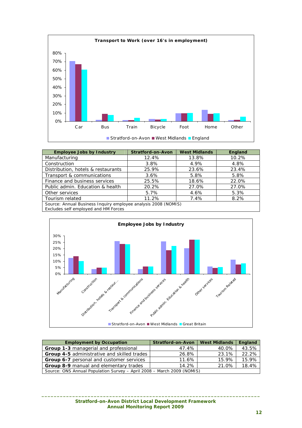

| <b>Employee Jobs by Industry</b>                                                                       | <b>Stratford-on-Avon</b> | <b>West Midlands</b> | England |  |  |  |
|--------------------------------------------------------------------------------------------------------|--------------------------|----------------------|---------|--|--|--|
| Manufacturing                                                                                          | 12.4%                    | 13.8%                | 10.2%   |  |  |  |
| Construction                                                                                           | 3.8%                     | 4.9%                 | 4.8%    |  |  |  |
| Distribution, hotels & restaurants                                                                     | 25.9%                    | 23.6%                | 23.4%   |  |  |  |
| Transport & communications                                                                             | 3.6%                     | 5.8%                 | 5.8%    |  |  |  |
| Finance and business services                                                                          | 25.5%                    | 18.6%                | 22.0%   |  |  |  |
| Public admin. Education & health                                                                       | 20.2%                    | 27.0%                | 27.0%   |  |  |  |
| Other services                                                                                         | 5.7%                     | 4.6%                 | 5.3%    |  |  |  |
| Tourism related                                                                                        | 11.2%                    | 7.4%                 | 8.2%    |  |  |  |
| Source: Annual Business Inquiry employee analysis 2008 (NOMIS)<br>Excludes self employed and HM Forces |                          |                      |         |  |  |  |



| <b>Employment by Occupation</b>                                             | <b>Stratford-on-Avon</b> | <b>West Midlands</b> | England |  |  |
|-----------------------------------------------------------------------------|--------------------------|----------------------|---------|--|--|
| <b>Group 1-3 managerial and professional</b>                                | 47.4%                    | 40.0%                | 43.5%   |  |  |
| <b>Group 4-5 administrative and skilled trades</b>                          | 26.8%                    | 23.1%                | 22.2%   |  |  |
| Group 6-7 personal and customer services                                    | 11.6%                    | 15.9%                | 15.9%   |  |  |
| 18.4%<br>21.0%<br><b>Group 8-9 manual and elementary trades</b><br>$14.2\%$ |                          |                      |         |  |  |
| Source: ONS Annual Population Survey - April 2008 - March 2009 (NOMIS)      |                          |                      |         |  |  |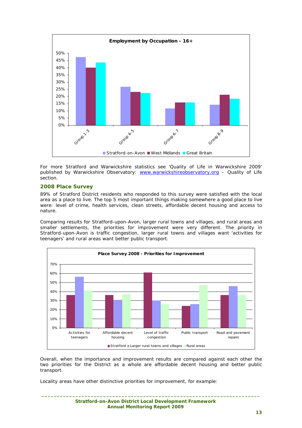

For more Stratford and Warwickshire statistics see 'Quality of Life in Warwickshire 2009' published by Warwickshire Observatory: www.warwickshireobservatory.org – Quality of Life section.

#### **2008 Place Survey**

89% of Stratford District residents who responded to this survey were satisfied with the local area as a place to live. The top 5 most important things making somewhere a good place to live were: level of crime, health services, clean streets, affordable decent housing and access to nature.

Comparing results for Stratford-upon-Avon, larger rural towns and villages, and rural areas and smaller settlements, the priorities for improvement were very different. The priority in Stratford-upon-Avon is traffic congestion, larger rural towns and villages want 'activities for teenagers' and rural areas want better public transport.



Overall, when the importance and improvement results are compared against each other the two priorities for the District as a whole are affordable decent housing and better public transport.

**\_\_\_\_\_\_\_\_\_\_\_\_\_\_\_\_\_\_\_\_\_\_\_\_\_\_\_\_\_\_\_\_\_\_\_\_\_\_\_\_\_\_\_\_\_\_\_\_\_\_\_\_\_\_\_\_\_\_\_\_\_\_\_\_\_\_\_\_\_\_\_** 

Locality areas have other distinctive priorities for improvement, for example: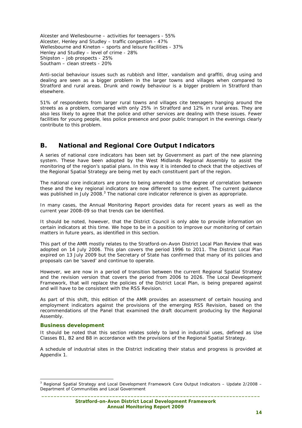Alcester and Wellesbourne – activities for teenagers - 55% Alcester, Henley and Studley – traffic congestion - 47% Wellesbourne and Kineton – sports and leisure facilities - 37% Henley and Studley – level of crime - 28% Shipston – job prospects - 25% Southam – clean streets - 20%

Anti-social behaviour issues such as rubbish and litter, vandalism and graffiti, drug using and dealing are seen as a bigger problem in the larger towns and villages when compared to Stratford and rural areas. Drunk and rowdy behaviour is a bigger problem in Stratford than elsewhere.

51% of respondents from larger rural towns and villages cite teenagers hanging around the streets as a problem, compared with only 25% in Stratford and 12% in rural areas. They are also less likely to agree that the police and other services are dealing with these issues. Fewer facilities for young people, less police presence and poor public transport in the evenings clearly contribute to this problem.

## **B. National and Regional Core Output Indicators**

A series of national core indicators has been set by Government as part of the new planning system. These have been adopted by the West Midlands Regional Assembly to assist the monitoring of the region's spatial plans. In this way it is intended to check that the objectives of the Regional Spatial Strategy are being met by each constituent part of the region.

The national core indicators are prone to being amended so the degree of correlation between these and the key regional indicators are now different to some extent. The current guidance was published in July 2008. $3$  The national core indicator reference is given as appropriate.

In many cases, the Annual Monitoring Report provides data for recent years as well as the current year 2008-09 so that trends can be identified.

It should be noted, however, that the District Council is only able to provide information on certain indicators at this time. We hope to be in a position to improve our monitoring of certain matters in future years, as identified in this section.

This part of the AMR mostly relates to the Stratford-on-Avon District Local Plan Review that was adopted on 14 July 2006. This plan covers the period 1996 to 2011. The District Local Plan expired on 13 July 2009 but the Secretary of State has confirmed that many of its policies and proposals can be 'saved' and continue to operate.

However, we are now in a period of transition between the current Regional Spatial Strategy and the revision version that covers the period from 2006 to 2026. The Local Development Framework, that will replace the policies of the District Local Plan, is being prepared against and will have to be consistent with the RSS Revision.

As part of this shift, this edition of the AMR provides an assessment of certain housing and employment indicators against the provisions of the emerging RSS Revision, based on the recommendations of the Panel that examined the draft document producing by the Regional Assembly.

#### **Business development**

It should be noted that this section relates solely to land in industrial uses, defined as Use Classes B1, B2 and B8 in accordance with the provisions of the Regional Spatial Strategy.

A schedule of industrial sites in the District indicating their status and progress is provided at Appendix 1.

**\_\_\_\_\_\_\_\_\_\_\_\_\_\_\_\_\_\_\_\_\_\_\_\_\_\_\_\_\_\_\_\_\_\_\_\_\_\_\_\_\_\_\_\_\_\_\_\_\_\_\_\_\_\_\_\_\_\_\_\_\_\_\_\_\_\_\_\_\_\_\_**  ł <sup>3</sup> Regional Spatial Strategy and Local Development Framework Core Output Indicators - Update 2/2008 -Department of Communities and Local Government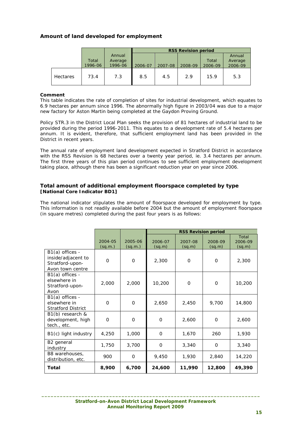## **Amount of land developed for employment**

|                 |         |         | <b>RSS Revision period</b> |         |         |         |         |
|-----------------|---------|---------|----------------------------|---------|---------|---------|---------|
|                 |         | Annual  |                            |         |         |         | Annual  |
|                 | Total   | Average |                            |         |         | Total   | Average |
|                 | 1996-06 | 1996-06 | 2006-07                    | 2007-08 | 2008-09 | 2006-09 | 2006-09 |
| <b>Hectares</b> | 73.4    | 7.3     | 8.5                        | 4.5     | 2.9     | 15.9    | 5.3     |

## **Comment**

This table indicates the rate of completion of sites for industrial development, which equates to 6.9 hectares per annum since 1996. The abnormally high figure in 2003/04 was due to a major new factory for Aston Martin being completed at the Gaydon Proving Ground.

Policy STR.3 in the District Local Plan seeks the provision of 81 hectares of industrial land to be provided during the period 1996-2011. This equates to a development rate of 5.4 hectares per annum. It is evident, therefore, that sufficient employment land has been provided in the District in recent years.

The annual rate of employment land development expected in Stratford District in accordance with the RSS Revision is 68 hectares over a twenty year period, ie. 3.4 hectares per annum. The first three years of this plan period continues to see sufficient employment development taking place, although there has been a significant reduction year on year since 2006.

### **Total amount of additional employment floorspace completed by type [National Core Indicator BD1]**

The national indicator stipulates the amount of floorspace developed for employment by type. This information is not readily available before 2004 but the amount of employment floorspace (in square metres) completed during the past four years is as follows:

|                                                                              |                    |                    |                   | <b>RSS Revision period</b> |                   |                            |
|------------------------------------------------------------------------------|--------------------|--------------------|-------------------|----------------------------|-------------------|----------------------------|
|                                                                              | 2004-05<br>(sq.m.) | 2005-06<br>(sq.m.) | 2006-07<br>(sq.m) | 2007-08<br>(sq.m)          | 2008-09<br>(sq.m) | Total<br>2006-09<br>(sq.m) |
| B1(a) offices -<br>inside/adjacent to<br>Stratford-upon-<br>Avon town centre | $\Omega$           | $\mathbf{O}$       | 2,300             | $\Omega$                   | $\Omega$          | 2,300                      |
| B1(a) offices -<br>elsewhere in<br>Stratford-upon-<br>Avon                   | 2,000              | 2,000              | 10,200            | $\Omega$                   | $\mathbf 0$       | 10,200                     |
| B1(a) offices -<br>elsewhere in<br><b>Stratford District</b>                 | $\Omega$           | 0                  | 2,650             | 2,450                      | 9,700             | 14,800                     |
| B1(b) research &<br>development, high<br>tech., etc.                         | $\Omega$           | $\Omega$           | $\Omega$          | 2.600                      | $\Omega$          | 2,600                      |
| B1(c) light industry                                                         | 4,250              | 1,000              | O                 | 1,670                      | 260               | 1,930                      |
| B <sub>2</sub> general<br>industry                                           | 1,750              | 3,700              | $\Omega$          | 3,340                      | $\Omega$          | 3,340                      |
| B8 warehouses,<br>distribution, etc.                                         | 900                | 0                  | 9,450             | 1,930                      | 2,840             | 14,220                     |
| Total                                                                        | 8,900              | 6,700              | 24,600            | 11,990                     | 12,800            | 49,390                     |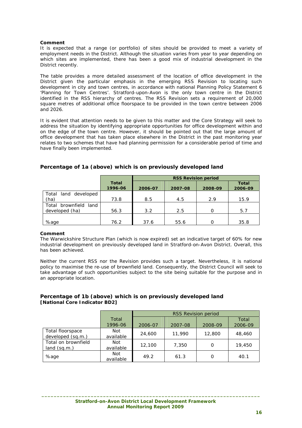#### **Comment**

It is expected that a range (or portfolio) of sites should be provided to meet a variety of employment needs in the District. Although the situation varies from year to year depending on which sites are implemented, there has been a good mix of industrial development in the District recently.

The table provides a more detailed assessment of the location of office development in the District given the particular emphasis in the emerging RSS Revision to locating such development in city and town centres, in accordance with national Planning Policy Statement 6 'Planning for Town Centres'. Stratford-upon-Avon is the only town centre in the District identified in the RSS hierarchy of centres. The RSS Revision sets a requirement of 20,000 square metres of additional office floorspace to be provided in the town centre between 2006 and 2026.

It is evident that attention needs to be given to this matter and the Core Strategy will seek to address the situation by identifying appropriate opportunities for office development within and on the edge of the town centre. However, it should be pointed out that the large amount of office development that has taken place elsewhere in the District in the past monitoring year relates to two schemes that have had planning permission for a considerable period of time and have finally been implemented.

|                       |                         | <b>RSS Revision period</b> |         |          |                         |  |
|-----------------------|-------------------------|----------------------------|---------|----------|-------------------------|--|
|                       | <b>Total</b><br>1996-06 | 2006-07                    | 2007-08 | 2008-09  | <b>Total</b><br>2006-09 |  |
| Total land developed  |                         |                            |         |          |                         |  |
| (ha)                  | 73.8                    | 8.5                        | 4.5     | 2.9      | 15.9                    |  |
| Total brownfield land |                         |                            |         |          |                         |  |
| developed (ha)        | 56.3                    | 3.2                        | 2.5     | $\Omega$ | 5.7                     |  |
|                       |                         |                            |         |          |                         |  |
| %age                  | 76.2                    | 37.6                       | 55.6    | Ω        | 35.8                    |  |

## **Percentage of 1a (above) which is on previously developed land**

#### **Comment**

The Warwickshire Structure Plan (which is now expired) set an indicative target of 60% for new industrial development on previously developed land in Stratford-on-Avon District. Overall, this has been achieved.

Neither the current RSS nor the Revision provides such a target. Nevertheless, it is national policy to maximise the re-use of brownfield land. Consequently, the District Council will seek to take advantage of such opportunities subject to the site being suitable for the purpose and in an appropriate location.

## **Percentage of 1b (above) which is on previously developed land [National Core Indicator BD2]**

|                                       |                         | <b>RSS Revision period</b> |         |         |                  |  |
|---------------------------------------|-------------------------|----------------------------|---------|---------|------------------|--|
|                                       | Total<br>1996-06        | 2006-07                    | 2007-08 | 2008-09 | Total<br>2006-09 |  |
| Total floorspace<br>developed (sq.m.) | Not<br>available        | 24,600                     | 11,990  | 12,800  | 48,460           |  |
| Total on brownfield<br>land (sq.m.)   | <b>Not</b><br>available | 12,100                     | 7,350   | O       | 19,450           |  |
| %age                                  | Not<br>available        | 49.2                       | 61.3    | O       | 40.1             |  |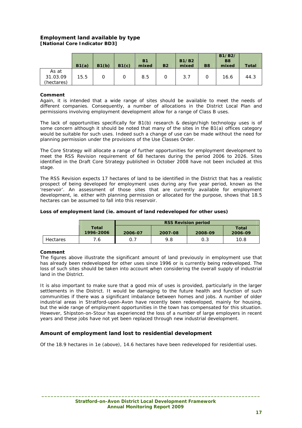## **Employment land available by type [National Core Indicator BD3]**

|                                 | B1(a) | B1(b) | B1(c) | <b>B1</b><br>mixed | <b>B2</b> | <b>B1/B2</b><br>mixed | <b>B8</b> | B1/B2/<br>B <sub>8</sub><br>mixed | <b>Total</b> |
|---------------------------------|-------|-------|-------|--------------------|-----------|-----------------------|-----------|-----------------------------------|--------------|
| As at<br>31.03.09<br>(hectares) | 15.5  |       | 0     | 8.5                |           | 3.7                   |           | 16.6                              | 44.3         |

#### **Comment**

Again, it is intended that a wide range of sites should be available to meet the needs of different companies. Consequently, a number of allocations in the District Local Plan and permissions involving employment development allow for a range of Class B uses.

The lack of opportunities specifically for B1(b) research & design/high technology uses is of some concern although it should be noted that many of the sites in the B1(a) offices category would be suitable for such uses. Indeed such a change of use can be made without the need for planning permission under the provisions of the Use Classes Order.

The Core Strategy will allocate a range of further opportunities for employment development to meet the RSS Revision requirement of 68 hectares during the period 2006 to 2026. Sites identified in the Draft Core Strategy published in October 2008 have not been included at this stage.

The RSS Revision expects 17 hectares of land to be identified in the District that has a realistic prospect of being developed for employment uses during any five year period, known as the 'reservoir'. An assessment of those sites that are currently available for employment development, ie. either with planning permission or allocated for the purpose, shows that 18.5 hectares can be assumed to fall into this reservoir.

#### **Loss of employment land (ie. amount of land redeveloped for other uses)**

|          |                    | <b>RSS Revision period</b> |         |         |                  |  |
|----------|--------------------|----------------------------|---------|---------|------------------|--|
|          | Total<br>1996-2006 | 2006-07                    | 2007-08 | 2008-09 | Total<br>2006-09 |  |
| Hectares | 7.6.               | 0.7                        | 9.8     | 0.3     | 10.8             |  |

#### **Comment**

The figures above illustrate the significant amount of land previously in employment use that has already been redeveloped for other uses since 1996 or is currently being redeveloped. The loss of such sites should be taken into account when considering the overall supply of industrial land in the District.

It is also important to make sure that a good mix of uses is provided, particularly in the larger settlements in the District. It would be damaging to the future health and function of such communities if there was a significant imbalance between homes and jobs. A number of older industrial areas in Stratford-upon-Avon have recently been redeveloped, mainly for housing, but the wide range of employment opportunities in the town has compensated for this situation. However, Shipston-on-Stour has experienced the loss of a number of large employers in recent years and these jobs have not yet been replaced through new industrial development.

## **Amount of employment land lost to residential development**

Of the 18.9 hectares in 1e (above), 14.6 hectares have been redeveloped for residential uses.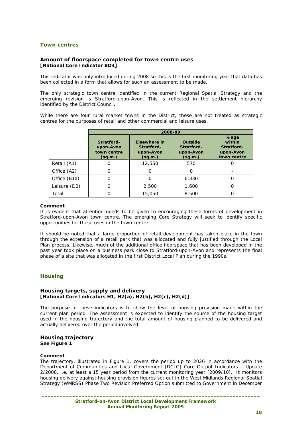## **Town centres**

#### **Amount of floorspace completed for town centre uses [National Core Indicator BD4]**

This indicator was only introduced during 2008 so this is the first monitoring year that data has been collected in a form that allows for such an assessment to be made.

The only strategic town centre identified in the current Regional Spatial Strategy and the emerging revision is Stratford-upon-Avon. This is reflected in the settlement hierarchy identified by the District Council.

While there are four rural market towns in the District, these are not treated as strategic centres for the purposes of retail and other commercial and leisure uses.

|              | 2008-09                                           |                                                    |                                               |                                                          |  |
|--------------|---------------------------------------------------|----------------------------------------------------|-----------------------------------------------|----------------------------------------------------------|--|
|              | Stratford-<br>upon-Avon<br>town centre<br>(sq.m.) | Elsewhere in<br>Stratford-<br>upon-Avon<br>(sq.m.) | Outside<br>Stratford-<br>upon-Avon<br>(sq.m.) | %age<br>within<br>Stratford-<br>upon-Avon<br>town centre |  |
| Retail (A1)  |                                                   | 12,550                                             | 570                                           |                                                          |  |
| Office (A2)  |                                                   | Ω                                                  | O                                             |                                                          |  |
| Office (B1a) |                                                   | Ω                                                  | 6,330                                         |                                                          |  |
| Leisure (D2) |                                                   | 2,500                                              | 1,600                                         |                                                          |  |
| Total        |                                                   | 15,050                                             | 8,500                                         |                                                          |  |

#### **Comment**

It is evident that attention needs to be given to encouraging these forms of development in Stratford-upon-Avon town centre. The emerging Core Strategy will seek to identify specific opportunities for these uses in the town centre.

It should be noted that a large proportion of retail development has taken place in the town through the extension of a retail park that was allocated and fully justified through the Local Plan process. Likewise, much of the additional office floorspace that has been developed in the past year took place on a business park close to Stratford-upon-Avon and represents the final phase of a site that was allocated in the first District Local Plan during the 1990s.

## **Housing**

#### **Housing targets, supply and delivery [National Core Indicators H1, H2(a), H2(b), H2(c), H2(d)]**

The purpose of these indicators is to show the level of housing provision made within the current plan period. The assessment is expected to identify the source of the housing target used in the housing trajectory and the total amount of housing planned to be delivered and actually delivered over the period involved.

#### **Housing trajectory See Figure 1**

#### **Comment**

The trajectory, illustrated in Figure 1, covers the period up to 2026 in accordance with the Department of Communities and Local Government (DCLG) Core Output Indicators – Update 2/2008, i.e. at least a 15 year period from the current monitoring year (2009/10). It monitors housing delivery against housing provision figures set out in the West Midlands Regional Spatial Strategy (WMRSS) Phase Two Revision Preferred Option submitted to Government in December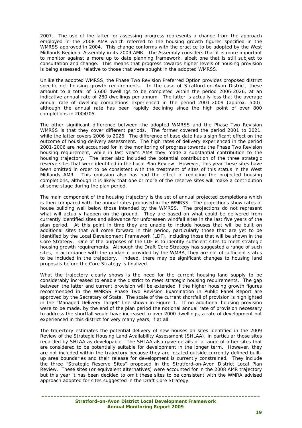2007. The use of the latter for assessing progress represents a change from the approach employed in the 2008 AMR which referred to the housing growth figures specified in the WMRSS approved in 2004. This change conforms with the practice to be adopted by the West Midlands Regional Assembly in its 2009 AMR. The Assembly considers that it is more important to monitor against a more up to date planning framework, albeit one that is still subject to consultation and change. This means that progress towards higher levels of housing provision is being assessed, relative to those that were sought in the adopted WMRSS.

Unlike the adopted WMRSS, the Phase Two Revision Preferred Option provides proposed district specific net housing growth requirements. In the case of Stratford-on-Avon District, these amount to a total of 5,600 dwellings to be completed within the period 2006-2026, at an indicative annual rate of 280 dwellings per annum. The latter is actually less that the average annual rate of dwelling completions experienced in the period 2001-2009 (approx. 500), although the annual rate has been rapidly declining since the high point of over 800 completions in 2004/05.

The other significant difference between the adopted WMRSS and the Phase Two Revision WMRSS is that they cover different periods. The former covered the period 2001 to 2021, while the latter covers 2006 to 2026. The difference of base date has a significant effect on the outcome of housing delivery assessment. The high rates of delivery experienced in the period 2001-2006 are not accounted for in the monitoring of progress towards the Phase Two Revision housing requirement, while in last year's AMR they made a substantial contribution to the housing trajectory. The latter also included the potential contribution of the three strategic reserve sites that were identified in the Local Plan Review. However, this year these sites have been omitted in order to be consistent with the treatment of sites of this status in the West Midlands AMR. This omission also has had the effect of reducing the projected housing completions, although it is likely that one or more of the reserve sites will make a contribution at some stage during the plan period.

The main component of the housing trajectory is the set of annual projected completions which is then compared with the annual rates proposed in the WMRSS. The projections show rates of house building well below those intended by the WMRSS. The projections do not represent what will actually happen on the ground. They are based on what could be delivered from currently identified sites and allowance for unforeseen windfall sites in the last five years of the plan period. At this point in time they are unable to include houses that will be built on additional sites that will come forward in this period, particularly those that are yet to be identified by the Local Development Framework (LDF), including those that will be shown in the Core Strategy. One of the purposes of the LDF is to identify sufficient sites to meet strategic housing growth requirements. Although the Draft Core Strategy has suggested a range of such sites, in accordance with the guidance provided by the WMRA, they are not of sufficient status to be included in the trajectory. Indeed, there may be significant changes to housing land proposals before the Core Strategy is finalized.

What the trajectory clearly shows is the need for the current housing land supply to be considerably increased to enable the district to meet strategic housing requirements. The gap between the latter and current provision will be extended if the higher housing growth figures recommended in the WMRSS Phase Two Revision Examination in Public Panel Report are approved by the Secretary of State. The scale of the current shortfall of provision is highlighted in the "Managed Delivery Target" line shown in Figure 1. If no additional housing provision were to be made, by the end of the plan period the notional annual rate of provision necessary to address the shortfall would have increased to over 2000 dwellings, a rate of development not experienced in this district for very many years, if at all.

The trajectory estimates the potential delivery of new houses on sites identified in the 2009 Review of the Strategic Housing Land Availability Assessment (SHLAA), in particular those sites regarded by SHLAA as developable. The SHLAA also gave details of a range of other sites that are considered to be potentially suitable for development in the longer term. However, they are not included within the trajectory because they are located outside currently defined builtup area boundaries and their release for development is currently constrained. They include the three "Strategic Reserve Sites" proposed in the Stratford-on-Avon District Local Plan Review. These sites (or equivalent alternatives) were accounted for in the 2008 AMR trajectory but this year it has been decided to omit these sites to be consistent with the WMRA advised approach adopted for sites suggested in the Draft Core Strategy.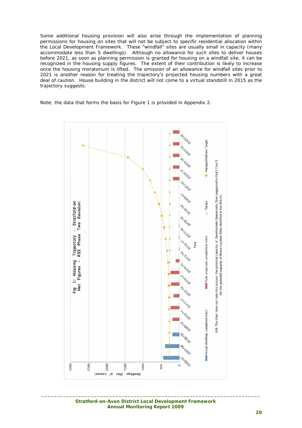Some additional housing provision will also arise through the implementation of planning permissions for housing on sites that will not be subject to specific residential allocation within the Local Development Framework. These "windfall" sites are usually small in capacity (many accommodate less than 5 dwellings). Although no allowance for such sites to deliver houses before 2021, as soon as planning permission is granted for housing on a windfall site, it can be recognized in the housing supply figures. The extent of their contribution is likely to increase once the housing moratorium is lifted. The omission of an allowance for windfall sites prior to 2021 is another reason for treating the trajectory's projected housing numbers with a great deal of caution. House building in the district will not come to a virtual standstill in 2015 as the trajectory suggests.

Note: the data that forms the basis for Figure 1 is provided in Appendix 2.



 **Stratford-on-Avon District Local Development Framework Annual Monitoring Report 2009**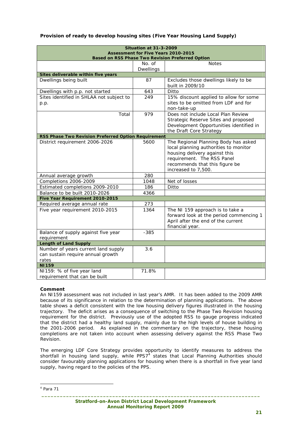| <b>Situation at 31-3-2009</b>                       |                                            |                                                         |  |  |  |
|-----------------------------------------------------|--------------------------------------------|---------------------------------------------------------|--|--|--|
|                                                     | <b>Assessment for Five Years 2010-2015</b> | <b>Based on RSS Phase Two Revision Preferred Option</b> |  |  |  |
|                                                     | No. of                                     | <b>Notes</b>                                            |  |  |  |
|                                                     | Dwellings                                  |                                                         |  |  |  |
| Sites deliverable within five years                 |                                            |                                                         |  |  |  |
| Dwellings being built                               | 87                                         | Excludes those dwellings likely to be                   |  |  |  |
|                                                     |                                            | built in 2009/10                                        |  |  |  |
| Dwellings with p.p. not started                     | 643                                        | Ditto                                                   |  |  |  |
| Sites identified in SHLAA not subject to            | 249                                        | 15% discount applied to allow for some                  |  |  |  |
| p.p.                                                |                                            | sites to be omitted from LDF and for                    |  |  |  |
|                                                     |                                            | non-take-up                                             |  |  |  |
| Total                                               | 979                                        | Does not include Local Plan Review                      |  |  |  |
|                                                     |                                            | Strategic Reserve Sites and proposed                    |  |  |  |
|                                                     |                                            | Development Opportunities identified in                 |  |  |  |
|                                                     |                                            | the Draft Core Strategy                                 |  |  |  |
| RSS Phase Two Revision Preferred Option Requirement |                                            |                                                         |  |  |  |
| District requirement 2006-2026                      | 5600                                       | The Regional Planning Body has asked                    |  |  |  |
|                                                     |                                            | local planning authorities to monitor                   |  |  |  |
|                                                     |                                            | housing delivery against this                           |  |  |  |
|                                                     |                                            | requirement. The RSS Panel                              |  |  |  |
|                                                     |                                            | recommends that this figure be                          |  |  |  |
|                                                     |                                            | increased to 7,500.                                     |  |  |  |
| Annual average growth                               | 280                                        |                                                         |  |  |  |
| Completions 2006-2009                               | 1048                                       | Net of losses                                           |  |  |  |
| Estimated completions 2009-2010                     | 186                                        | Ditto                                                   |  |  |  |
| Balance to be built 2010-2026                       | 4366                                       |                                                         |  |  |  |
| Five Year Requirement 2010-2015                     |                                            |                                                         |  |  |  |
| Required average annual rate                        | 273                                        |                                                         |  |  |  |
| Five year requirement 2010-2015                     | 1364                                       | The NI 159 approach is to take a                        |  |  |  |
|                                                     |                                            | forward look at the period commencing 1                 |  |  |  |
|                                                     |                                            | April after the end of the current                      |  |  |  |
|                                                     |                                            | financial year.                                         |  |  |  |
| Balance of supply against five year                 | $-385$                                     |                                                         |  |  |  |
| requirement<br><b>Length of Land Supply</b>         |                                            |                                                         |  |  |  |
| Number of years current land supply                 | 3.6                                        |                                                         |  |  |  |
| can sustain require annual growth                   |                                            |                                                         |  |  |  |
| rates                                               |                                            |                                                         |  |  |  |
| <b>NI159</b>                                        |                                            |                                                         |  |  |  |
| NI159: % of five year land                          | 71.8%                                      |                                                         |  |  |  |
| requirement that can be built                       |                                            |                                                         |  |  |  |

## **Provision of ready to develop housing sites (Five Year Housing Land Supply)**

## **Comment**

An NI159 assessment was not included in last year's AMR. It has been added to the 2009 AMR because of its significance in relation to the determination of planning applications. The above table shows a deficit consistent with the low housing delivery figures illustrated in the housing trajectory. The deficit arises as a consequence of switching to the Phase Two Revision housing requirement for the district. Previously use of the adopted RSS to gauge progress indicated that the district had a healthy land supply, mainly due to the high levels of house building in the 2001-2006 period. As explained in the commentary on the trajectory, these housing completions are not taken into account when assessing delivery against the RSS Phase Two Revision.

The emerging LDF Core Strategy provides opportunity to identify measures to address the shortfall in housing land supply, while  $PPS7<sup>4</sup>$  states that Local Planning Authorities should consider favourably planning applications for housing when there is a shortfall in five year land supply, having regard to the policies of the PPS.

 4 Para 71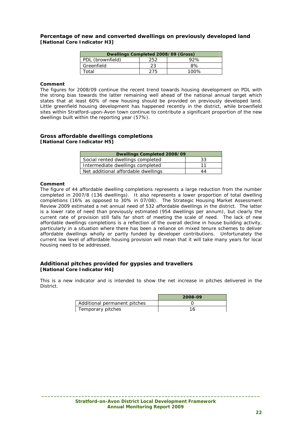#### **Percentage of new and converted dwellings on previously developed land [National Core Indicator H3]**

| Dwellings Completed 2008/09 (Gross) |     |     |  |  |  |  |
|-------------------------------------|-----|-----|--|--|--|--|
| PDL (brownfield)                    | 252 | 92% |  |  |  |  |
| Greenfield                          | 23  | 8%  |  |  |  |  |
| Total<br>100%<br>クフら                |     |     |  |  |  |  |

#### **Comment**

The figures for 2008/09 continue the recent trend towards housing development on PDL with the strong bias towards the latter remaining well ahead of the national annual target which states that at least 60% of new housing should be provided on previously developed land. Little greenfield housing development has happened recently in the district, while brownfield sites within Stratford-upon-Avon town continue to contribute a significant proportion of the new dwellings built within the reporting year (57%).

#### **Gross affordable dwellings completions [National Core Indicator H5]**

| Dwellings Completed 2008/09         |    |
|-------------------------------------|----|
| Social rented dwellings completed   | 33 |
| Intermediate dwellings completed    | 11 |
| Net additional affordable dwellings | 44 |

#### **Comment**

The figure of 44 affordable dwelling completions represents a large reduction from the number completed in 2007/8 (136 dwellings). It also represents a lower proportion of total dwelling completions (16% as opposed to 30% in 07/08). The Strategic Housing Market Assessment Review 2009 estimated a net annual need of 532 affordable dwellings in the district. The latter is a lower rate of need than previously estimated (954 dwellings per annum), but clearly the current rate of provision still falls far short of meeting the scale of need. The lack of new affordable dwellings completions is a reflection of the overall decline in house building activity, particularly in a situation where there has been a reliance on mixed tenure schemes to deliver affordable dwellings wholly or partly funded by developer contributions. Unfortunately the current low level of affordable housing provision will mean that it will take many years for local housing need to be addressed.

#### **Additional pitches provided for gypsies and travellers [National Core Indicator H4]**

This is a new indicator and is intended to show the net increase in pitches delivered in the District.

|                              | 2008-09 |
|------------------------------|---------|
| Additional permanent pitches |         |
| Temporary pitches            |         |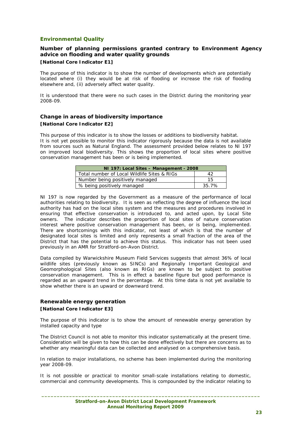## **Environmental Quality**

## **Number of planning permissions granted contrary to Environment Agency advice on flooding and water quality grounds**

## **[National Core Indicator E1]**

The purpose of this indicator is to show the number of developments which are potentially located where (i) they would be at risk of flooding or increase the risk of flooding elsewhere and, (ii) adversely affect water quality.

It is understood that there were no such cases in the District during the monitoring year 2008-09.

## **Change in areas of biodiversity importance [National Core Indicator E2]**

This purpose of this indicator is to show the losses or additions to biodiversity habitat. It is not yet possible to monitor this indicator rigorously because the data is not available from sources such as Natural England. The assessment provided below relates to NI 197 on improved local biodiversity. This shows the proportion of local sites where positive conservation management has been or is being implemented.

| NI 197: Local Sites - Management - 2008     |       |  |  |  |
|---------------------------------------------|-------|--|--|--|
| Total number of Local Wildlife Sites & RIGs | 42    |  |  |  |
| Number being positively managed             | 15    |  |  |  |
| % being positively managed                  | 35.7% |  |  |  |

NI 197 is now regarded by the Government as a measure of the performance of local authorities relating to biodiversity. It is seen as reflecting the degree of influence the local authority has had on the local sites system and the measures and procedures involved in ensuring that effective conservation is introduced to, and acted upon, by Local Site owners. The indicator describes the proportion of local sites of nature conservation interest where positive conservation management has been, or is being, implemented. There are shortcomings with this indicator, not least of which is that the number of designated local sites is limited and only represents a small fraction of the area of the District that has the potential to achieve this status. This indicator has not been used previously in an AMR for Stratford-on-Avon District.

Data compiled by Warwickshire Museum Field Services suggests that almost 36% of local wildlife sites (previously known as SINCs) and Regionally Important Geological and Geomorphological Sites (also known as RIGs) are known to be subject to positive conservation management. This is in effect a baseline figure but good performance is regarded as an upward trend in the percentage. At this time data is not yet available to show whether there is an upward or downward trend.

## **Renewable energy generation [National Core Indicator E3]**

The purpose of this indicator is to show the amount of renewable energy generation by installed capacity and type

The District Council is not able to monitor this indicator systematically at the present time. Consideration will be given to how this can be done effectively but there are concerns as to whether any meaningful data can be collected and analysed on a comprehensive basis.

In relation to major installations, no scheme has been implemented during the monitoring year 2008-09.

It is not possible or practical to monitor small-scale installations relating to domestic, commercial and community developments. This is compounded by the indicator relating to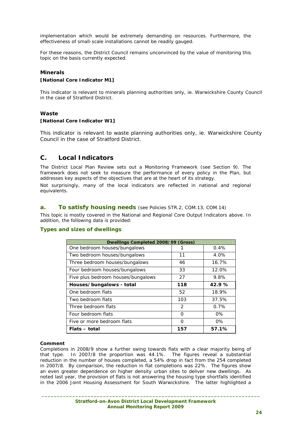implementation which would be extremely demanding on resources. Furthermore, the effectiveness of small-scale installations cannot be readily gauged.

For these reasons, the District Council remains unconvinced by the value of monitoring this topic on the basis currently expected.

## **Minerals**

#### **[National Core Indicator M1]**

This indicator is relevant to minerals planning authorities only, ie. Warwickshire County Council in the case of Stratford District.

#### **Waste**

#### **[National Core Indicator W1]**

This indicator is relevant to waste planning authorities only, ie. Warwickshire County Council in the case of Stratford District.

## **C. Local Indicators**

The District Local Plan Review sets out a Monitoring Framework (see Section 9). The framework does not seek to measure the performance of every policy in the Plan, but addresses key aspects of the objectives that are at the heart of its strategy.

Not surprisingly, many of the local indicators are reflected in national and regional equivalents.

#### **a. To satisfy housing needs** (see Policies STR.2, COM.13, COM.14)

This topic is mostly covered in the National and Regional Core Output Indicators above. In addition, the following data is provided:

#### **Types and sizes of dwellings**

| Dwellings Completed 2008/09 (Gross) |               |       |  |  |  |
|-------------------------------------|---------------|-------|--|--|--|
| One bedroom houses/bungalows        |               | 0.4%  |  |  |  |
| Two bedroom houses/bungalows        | 11            | 4.0%  |  |  |  |
| Three bedroom houses/bungalows      | 46            | 16.7% |  |  |  |
| Four bedroom houses/bungalows       | 33            | 12.0% |  |  |  |
| Five plus bedroom houses/bungalows  | 27            | 9.8%  |  |  |  |
| Houses/bungalows - total            | 118           | 42.9% |  |  |  |
| One bedroom flats                   | 52            | 18.9% |  |  |  |
| Two bedroom flats                   | 103           | 37.5% |  |  |  |
| Three bedroom flats                 | $\mathcal{P}$ | 0.7%  |  |  |  |
| Four bedroom flats                  | ∩             | $0\%$ |  |  |  |
| Five or more bedroom flats          | ∩             | $0\%$ |  |  |  |
| Flats – total                       | 157           | 57.1% |  |  |  |

#### **Comment**

Completions in 2008/9 show a further swing towards flats with a clear majority being of that type. In 2007/8 the proportion was 44.1%. The figures reveal a substantial reduction in the number of houses completed, a 54% drop in fact from the 254 completed in 2007/8. By comparison, the reduction in flat completions was 22%. The figures show an even greater dependence on higher density urban sites to deliver new dwellings. As noted last year, the provision of flats is not answering the housing type shortfalls identified in the 2006 Joint Housing Assessment for South Warwickshire. The latter highlighted a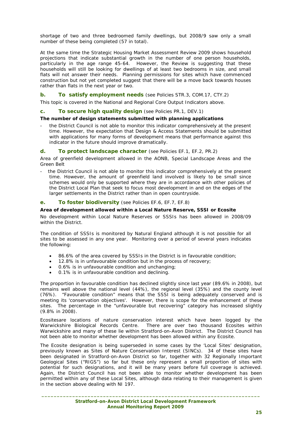shortage of two and three bedroomed family dwellings, but 2008/9 saw only a small number of these being completed (57 in total).

At the same time the Strategic Housing Market Assessment Review 2009 shows household projections that indicate substantial growth in the number of one person households, particularly in the age range 45-64. However, the Review is suggesting that these households will still be looking for dwellings of at least two bedrooms in size, and small flats will not answer their needs. Planning permissions for sites which have commenced construction but not yet completed suggest that there will be a move back towards houses rather than flats in the next year or two.

### **b.** To satisfy employment needs (see Policies STR.3, COM.17, CTY.2)

This topic is covered in the National and Regional Core Output Indicators above.

#### **c. To secure high quality design** (see Policies PR.1, DEV.1)

#### **The number of design statements submitted with planning applications**

the District Council is not able to monitor this indicator comprehensively at the present time. However, the expectation that Design & Access Statements should be submitted with applications for many forms of development means that performance against this indicator in the future should improve dramatically.

#### **d. To protect landscape character** (see Policies EF.1, EF.2, PR.2)

Area of greenfield development allowed in the AONB, Special Landscape Areas and the Green Belt

- the District Council is not able to monitor this indicator comprehensively at the present time. However, the amount of greenfield land involved is likely to be small since schemes would only be supported where they are in accordance with other policies of the District Local Plan that seek to focus most development in and on the edges of the larger settlements in the District rather than in open countryside.

#### **e. To foster biodiversity** (see Policies EF.6, EF.7, EF.8)

#### **Area of development allowed within a Local Nature Reserve, SSSI or Ecosite**

No development within Local Nature Reserves or SSSIs has been allowed in 2008/09 within the District.

The condition of SSSIs is monitored by Natural England although it is not possible for all sites to be assessed in any one year. Monitoring over a period of several years indicates the following:

- 86.6% of the area covered by SSSIs in the District is in favourable condition;
- 12.8% is in unfavourable condition but in the process of recovery;
- 0.6% is in unfavourable condition and unchanging;
- 0.1% is in unfavourable condition and declining.

The proportion in favourable condition has declined slightly since last year (89.6% in 2008), but remains well above the national level (44%), the regional level (35%) and the county level (76%). "Favourable condition" means that the SSSI is being adequately conserved and is meeting its 'conservation objectives'. However, there is scope for the enhancement of these sites. The percentage in the "unfavourable but recovering" category has increased slightly (9.8% in 2008).

Ecositesare locations of nature conservation interest which have been logged by the Warwickshire Biological Records Centre. There are over two thousand Ecosites within Warwickshire and many of these lie within Stratford-on-Avon District. The District Council has not been able to monitor whether development has been allowed within any Ecosite.

The Ecosite designation is being superseded in some cases by the 'Local Sites' designation, previously known as Sites of Nature Conservation Interest (SINCs). 34 of these sites have been designated in Stratford-on-Avon District so far, together with 32 Regionally Important Geological Sites ("RIGS") so far but these only represent a small proportion of sites with potential for such designations, and it will be many years before full coverage is achieved. Again, the District Council has not been able to monitor whether development has been permitted within any of these Local Sites, although data relating to their management is given in the section above dealing with NI 197.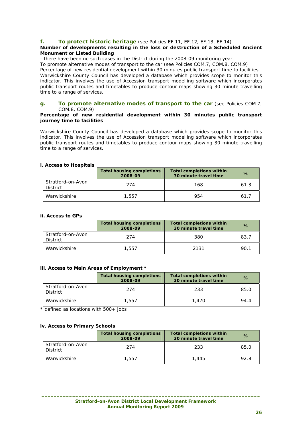## **f. To protect historic heritage** (see Policies EF.11, EF.12, EF.13, EF.14)

#### **Number of developments resulting in the loss or destruction of a Scheduled Ancient Monument or Listed Building**

- there have been no such cases in the District during the 2008-09 monitoring year. To promote alternative modes of transport to the car (see Policies COM.7, COM.8, COM.9) Percentage of new residential development within 30 minutes public transport time to facilities Warwickshire County Council has developed a database which provides scope to monitor this indicator. This involves the use of Accession transport modelling software which incorporates public transport routes and timetables to produce contour maps showing 30 minute travelling time to a range of services.

#### **g. To promote alternative modes of transport to the car** (see Policies COM.7, COM.8, COM.9)

#### **Percentage of new residential development within 30 minutes public transport journey time to facilities**

Warwickshire County Council has developed a database which provides scope to monitor this indicator. This involves the use of Accession transport modelling software which incorporates public transport routes and timetables to produce contour maps showing 30 minute travelling time to a range of services.

#### **i. Access to Hospitals**

|                                      | <b>Total housing completions</b><br>2008-09 | <b>Total completions within</b><br>30 minute travel time | %    |
|--------------------------------------|---------------------------------------------|----------------------------------------------------------|------|
| Stratford-on-Avon<br><b>District</b> | 274                                         | 168                                                      | 61.3 |
| Warwickshire                         | 1,557                                       | 954                                                      | 61.7 |

#### **ii. Access to GPs**

|                               | <b>Total housing completions</b><br>2008-09 | <b>Total completions within</b><br>30 minute travel time | $\%$ |
|-------------------------------|---------------------------------------------|----------------------------------------------------------|------|
| Stratford-on-Avon<br>District | 274                                         | 380                                                      | 83.7 |
| Warwickshire                  | 1,557                                       | 2131                                                     | 90.1 |

#### **iii. Access to Main Areas of Employment \***

|                               | <b>Total housing completions</b><br>2008-09 | <b>Total completions within</b><br>30 minute travel time | $\%$ |
|-------------------------------|---------------------------------------------|----------------------------------------------------------|------|
| Stratford-on-Avon<br>District | 274                                         | 233                                                      | 85.0 |
| Warwickshire                  | 1,557                                       | 1.470                                                    | 94.4 |

 $*$  defined as locations with 500+ jobs

#### **iv. Access to Primary Schools**

|                               | <b>Total housing completions</b><br>2008-09 | <b>Total completions within</b><br>30 minute travel time | $\%$ |
|-------------------------------|---------------------------------------------|----------------------------------------------------------|------|
| Stratford-on-Avon<br>District | 274                                         | 233                                                      | 85.0 |
| Warwickshire                  | 1,557                                       | 1.445                                                    | 92.8 |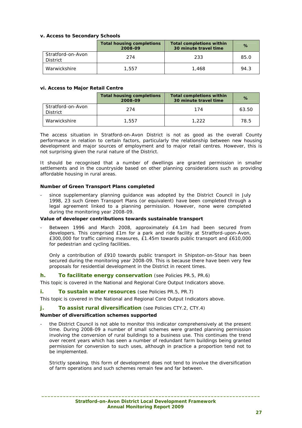#### **v. Access to Secondary Schools**

|                                      | <b>Total housing completions</b><br>2008-09 | <b>Total completions within</b><br>30 minute travel time | $\%$ |
|--------------------------------------|---------------------------------------------|----------------------------------------------------------|------|
| Stratford-on-Avon<br><b>District</b> | 274                                         | 233                                                      | 85.0 |
| Warwickshire                         | 1,557                                       | 1,468                                                    | 94.3 |

#### **vi. Access to Major Retail Centre**

|                                      | <b>Total housing completions</b><br>2008-09 | <b>Total completions within</b><br>30 minute travel time | $\%$  |
|--------------------------------------|---------------------------------------------|----------------------------------------------------------|-------|
| Stratford-on-Avon<br><b>District</b> | 274                                         | 174                                                      | 63.50 |
| Warwickshire                         | 1.557                                       | 1,222                                                    | 78.5  |

The access situation in Stratford-on-Avon District is not as good as the overall County performance in relation to certain factors, particularly the relationship between new housing development and major sources of employment and to major retail centres. However, this is not surprising given the rural nature of the District.

It should be recognised that a number of dwellings are granted permission in smaller settlements and in the countryside based on other planning considerations such as providing affordable housing in rural areas.

#### **Number of Green Transport Plans completed**

since supplementary planning guidance was adopted by the District Council in July 1998, 23 such Green Transport Plans (or equivalent) have been completed through a legal agreement linked to a planning permission. However, none were completed during the monitoring year 2008-09.

#### **Value of developer contributions towards sustainable transport**

Between 1996 and March 2008, approximately £4.1m had been secured from developers. This comprised £1m for a park and ride facility at Stratford-upon-Avon, £300,000 for traffic calming measures, £1.45m towards public transport and £610,000 for pedestrian and cycling facilities.

Only a contribution of £910 towards public transport in Shipston-on-Stour has been secured during the monitoring year 2008-09. This is because there have been very few proposals for residential development in the District in recent times.

#### **h. To facilitate energy conservation** (see Policies PR.5, PR.6)

This topic is covered in the National and Regional Core Output Indicators above.

#### **i.** To sustain water resources (see Policies PR.5, PR.7)

This topic is covered in the National and Regional Core Output Indicators above.

#### **j.** To assist rural diversification (see Policies CTY.2, CTY.4)

#### **Number of diversification schemes supported**

the District Council is not able to monitor this indicator comprehensively at the present time. During 2008-09 a number of small schemes were granted planning permission involving the conversion of rural buildings to a business use. This continues the trend over recent years which has seen a number of redundant farm buildings being granted permission for conversion to such uses, although in practice a proportion tend not to be implemented.

Strictly speaking, this form of development does not tend to involve the diversification of farm operations and such schemes remain few and far between.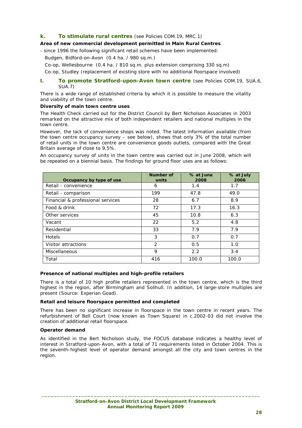## **k. To stimulate rural centres** (see Policies COM.19, MRC.1)

## **Area of new commercial development permitted in Main Rural Centres**

- since 1996 the following significant retail schemes have been implemented: Budgen, Bidford-on-Avon (0.4 ha. / 980 sq.m.)

Co-op, Wellesbourne (0.4 ha. / 810 sq.m. plus extension comprising 330 sq.m)

Co-op, Studley (replacement of existing store with no additional floorspace involved)

#### **l.** To promote Stratford-upon-Avon town centre (see Policies COM.19, SUA.6, SUA.7)

There is a wide range of established criteria by which it is possible to measure the vitality and viability of the town centre.

#### **Diversity of main town centre uses**

The Health Check carried out for the District Council by Bert Nicholson Associates in 2003 remarked on the attractive mix of both independent retailers and national multiples in the town centre.

However, the lack of convenience shops was noted. The latest information available (from the town centre occupancy survey – see below), shows that only 3% of the total number of retail units in the town centre are convenience goods outlets, compared with the Great Britain average of close to 9.5%.

An occupancy survey of units in the town centre was carried out in June 2008, which will be repeated on a biennial basis. The findings for ground floor uses are as follows:

| Occupancy by type of use          | Number of<br>units | % at June<br>2008 | % at July<br>2006 |
|-----------------------------------|--------------------|-------------------|-------------------|
| Retail - convenience              | 6                  | 1.4               | 1.7               |
| Retail - comparison               | 199                | 47.8              | 49.0              |
| Financial & professional services | 28                 | 6.7               | 8.9               |
| Food & drink                      | 72                 | 17.3              | 16.3              |
| Other services                    | 45                 | 10.8              | 6.3               |
| Vacant                            | 22                 | 5.2               | 4.8               |
| Residential                       | 33                 | 7.9               | 7.9               |
| <b>Hotels</b>                     | 3                  | 0.7               | 0.7               |
| Visitor attractions               | $\mathcal{P}$      | 0.5               | 1.0               |
| Miscellaneous                     | 9                  | 2.2               | 3.4               |
| Total                             | 416                | 100.0             | 100.0             |

#### **Presence of national multiples and high-profile retailers**

There is a total of 10 high profile retailers represented in the town centre, which is the third highest in the region, after Birmingham and Solihull. In addition, 14 large-store multiples are present (Source: Experian Goad).

#### **Retail and leisure floorspace permitted and completed**

There has been no significant increase in floorspace in the town centre in recent years. The refurbishment of Bell Court (now known as Town Square) in c.2002-03 did not involve the creation of additional retail floorspace.

#### **Operator demand**

As identified in the Bert Nicholson study, the FOCUS database indicates a healthy level of interest in Stratford-upon-Avon, with a total of 71 requirements listed in October 2004. This is the seventh-highest level of operator demand amongst all the city and town centres in the region.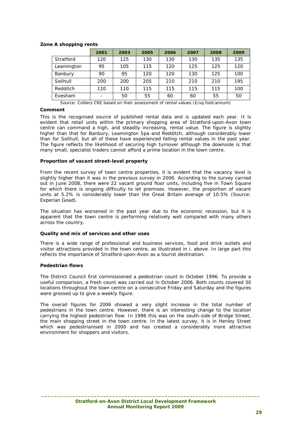## **Zone A shopping rents**

|            | 2001                     | 2003 | 2005 | 2006 | 2007 | 2008 | 2009 |
|------------|--------------------------|------|------|------|------|------|------|
| Stratford  | 120                      | 125  | 130  | 130  | 130  | 135  | 135  |
| Leamington | 95                       | 105  | 115  | 120  | 125  | 125  | 120  |
| Banbury    | 90                       | 95   | 120  | 120  | 130  | 125  | 100  |
| Solihull   | 200                      | 200  | 205  | 210  | 210  | 210  | 195  |
| Redditch   | 110                      | 110  | 115  | 115  | 115  | 115  | 100  |
| Evesham    | $\overline{\phantom{a}}$ | 50   | 55   | 60   | 60   | 55   | 50   |

*Source: Colliers CRE based on their assessment of rental values (£/sq.foot/annum)* 

#### **Comment**

This is the recognised source of published rental data and is updated each year. It is evident that retail units within the primary shopping area of Stratford-upon-Avon town centre can command a high, and steadily increasing, rental value. The figure is slightly higher than that for Banbury, Leamington Spa and Redditch, although considerably lower than for Solihull, but all of these have experienced falling rental values in the past year. The figure reflects the likelihood of securing high turnover although the downside is that many small, specialist traders cannot afford a prime location in the town centre.

#### **Proportion of vacant street-level property**

From the recent survey of town centre properties, it is evident that the vacancy level is slightly higher than it was in the previous survey in 2006. According to the survey carried out in June 2008, there were 22 vacant ground floor units, including five in Town Square for which there is ongoing difficulty to let premises. However, the proportion of vacant units at 5.2% is considerably lower than the Great Britain average of 10.5% (Source: Experian Goad).

The situation has worsened in the past year due to the economic recession, but it is apparent that the town centre is performing relatively well compared with many others across the country.

#### **Quality and mix of services and other uses**

There is a wide range of professional and business services, food and drink outlets and visitor attractions provided in the town centre, as illustrated in i. above. In large part this reflects the importance of Stratford-upon-Avon as a tourist destination.

#### **Pedestrian flows**

The District Council first commissioned a pedestrian count in October 1996. To provide a useful comparison, a fresh count was carried out in October 2006. Both counts covered 30 locations throughout the town centre on a consecutive Friday and Saturday and the figures were grossed up to give a weekly figure.

The overall figures for 2006 showed a very slight increase in the total number of pedestrians in the town centre. However, there is an interesting change to the location carrying the highest pedestrian flow. In 1996 this was on the south-side of Bridge Street, the main shopping street in the town centre. In the latest survey, it is in Henley Street which was pedestrianised in 2000 and has created a considerably more attractive environment for shoppers and visitors.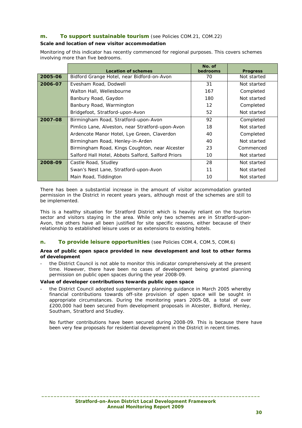## **m. To support sustainable tourism** (see Policies COM.21, COM.22)

## **Scale and location of new visitor accommodation**

Monitoring of this indicator has recently commenced for regional purposes. This covers schemes involving more than five bedrooms.

|         | <b>Location of schemes</b>                         | No. of<br>bedrooms | <b>Progress</b> |
|---------|----------------------------------------------------|--------------------|-----------------|
| 2005-06 | Bidford Grange Hotel, near Bidford-on-Avon         | 70                 | Not started     |
| 2006-07 | Evesham Road, Dodwell                              | 31                 | Not started     |
|         | Walton Hall, Wellesbourne                          | 167                | Completed       |
|         | Banbury Road, Gaydon                               | 180                | Not started     |
|         | Banbury Road, Warmington                           | $12 \overline{ }$  | Completed       |
|         | Bridgefoot, Stratford-upon-Avon                    | 52                 | Not started     |
| 2007-08 | Birmingham Road, Stratford-upon-Avon               | 92                 | Completed       |
|         | Pimlico Lane, Alveston, near Stratford-upon-Avon   | 18                 | Not started     |
|         | Ardencote Manor Hotel, Lye Green, Claverdon        | 40                 | Completed       |
|         | Birmingham Road, Henley-in-Arden                   | 40                 | Not started     |
|         | Birmingham Road, Kings Coughton, near Alcester     | 23                 | Commenced       |
|         | Salford Hall Hotel, Abbots Salford, Salford Priors | 10                 | Not started     |
| 2008-09 | Castle Road, Studley                               | 28                 | Not started     |
|         | Swan's Nest Lane, Stratford-upon-Avon              | 11                 | Not started     |
|         | Main Road, Tiddington                              | 10                 | Not started     |

There has been a substantial increase in the amount of visitor accommodation granted permission in the District in recent years years, although most of the schemes are still to be implemented.

This is a healthy situation for Stratford District which is heavily reliant on the tourism sector and visitors staying in the area. While only two schemes are in Stratford-upon-Avon, the others have all been justified for site specific reasons, either because of their relationship to established leisure uses or as extensions to existing hotels.

## **n. To provide leisure opportunities** (see Policies COM.4, COM.5, COM.6)

#### **Area of public open space provided in new development and lost to other forms of development**

the District Council is not able to monitor this indicator comprehensively at the present time. However, there have been no cases of development being granted planning permission on public open spaces during the year 2008-09.

## **Value of developer contributions towards public open space**

the District Council adopted supplementary planning guidance in March 2005 whereby financial contributions towards off-site provision of open space will be sought in appropriate circumstances. During the monitoring years 2005-08, a total of over £200,000 had been secured from development proposals in Alcester, Bidford, Henley, Southam, Stratford and Studley.

No further contributions have been secured during 2008-09. This is because there have been very few proposals for residential development in the District in recent times.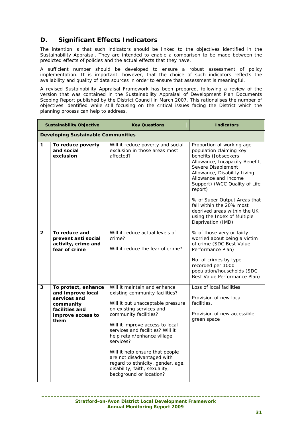## **D. Significant Effects Indicators**

The intention is that such indicators should be linked to the objectives identified in the Sustainability Appraisal. They are intended to enable a comparison to be made between the predicted effects of policies and the actual effects that they have.

A sufficient number should be developed to ensure a robust assessment of policy implementation. It is important, however, that the choice of such indicators reflects the availability and quality of data sources in order to ensure that assessment is meaningful.

A revised Sustainability Appraisal Framework has been prepared, following a review of the version that was contained in the Sustainability Appraisal of Development Plan Documents Scoping Report published by the District Council in March 2007. This rationalises the number of objectives identified while still focusing on the critical issues facing the District which the planning process can help to address.

|                | <b>Sustainability Objective</b>                                                                                      | <b>Key Questions</b>                                                                                                                                                                                                                                                                                                                                                                                                                          | <b>Indicators</b>                                                                                                                                                                                                                                                                                                                                                                        |  |  |  |  |
|----------------|----------------------------------------------------------------------------------------------------------------------|-----------------------------------------------------------------------------------------------------------------------------------------------------------------------------------------------------------------------------------------------------------------------------------------------------------------------------------------------------------------------------------------------------------------------------------------------|------------------------------------------------------------------------------------------------------------------------------------------------------------------------------------------------------------------------------------------------------------------------------------------------------------------------------------------------------------------------------------------|--|--|--|--|
|                | <b>Developing Sustainable Communities</b>                                                                            |                                                                                                                                                                                                                                                                                                                                                                                                                                               |                                                                                                                                                                                                                                                                                                                                                                                          |  |  |  |  |
| 1              | To reduce poverty<br>and social<br>exclusion                                                                         | Will it reduce poverty and social<br>exclusion in those areas most<br>affected?                                                                                                                                                                                                                                                                                                                                                               | Proportion of working age<br>population claiming key<br>benefits (Jobseekers<br>Allowance, Incapacity Benefit,<br>Severe Disablement<br>Allowance, Disability Living<br>Allowance and Income<br>Support) (WCC Quality of Life<br>report)<br>% of Super Output Areas that<br>fall within the 20% most<br>deprived areas within the UK<br>using the Index of Multiple<br>Deprivation (IMD) |  |  |  |  |
| $\overline{2}$ | To reduce and<br>prevent anti social<br>activity, crime and<br>fear of crime                                         | Will it reduce actual levels of<br>crime?<br>Will it reduce the fear of crime?                                                                                                                                                                                                                                                                                                                                                                | % of those very or fairly<br>worried about being a victim<br>of crime (SDC Best Value<br>Performance Plan)<br>No. of crimes by type<br>recorded per 1000<br>population/households (SDC<br>Best Value Performance Plan)                                                                                                                                                                   |  |  |  |  |
| 3              | To protect, enhance<br>and improve local<br>services and<br>community<br>facilities and<br>improve access to<br>them | Will it maintain and enhance<br>existing community facilities?<br>Will it put unacceptable pressure<br>on existing services and<br>community facilities?<br>Will it improve access to local<br>services and facilities? Will it<br>help retain/enhance village<br>services?<br>Will it help ensure that people<br>are not disadvantaged with<br>regard to ethnicity, gender, age,<br>disability, faith, sexuality,<br>background or location? | Loss of local facilities<br>Provision of new local<br>facilities.<br>Provision of new accessible<br>green space                                                                                                                                                                                                                                                                          |  |  |  |  |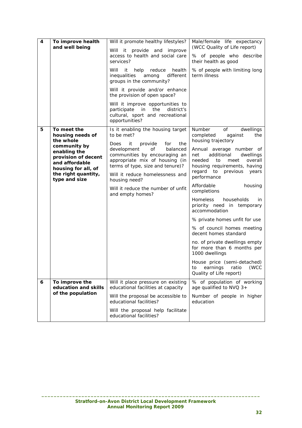| 4 | To improve health<br>and well being                                                                                                                                                  | Will it promote healthy lifestyles?<br>Will it provide and improve<br>access to health and social care<br>services?<br>Will<br>it<br>help<br>reduce<br>health<br>inequalities<br>among<br>different<br>groups in the community?<br>Will it provide and/or enhance<br>the provision of open space?<br>Will it improve opportunities to<br>participate in<br>the<br>district's<br>cultural, sport and recreational<br>opportunities? | Male/female life expectancy<br>(WCC Quality of Life report)<br>% of people who describe<br>their health as good<br>% of people with limiting long<br>term illness                                                                                                                                                                                                                                                                                                                                                                                                                                                                                                   |
|---|--------------------------------------------------------------------------------------------------------------------------------------------------------------------------------------|------------------------------------------------------------------------------------------------------------------------------------------------------------------------------------------------------------------------------------------------------------------------------------------------------------------------------------------------------------------------------------------------------------------------------------|---------------------------------------------------------------------------------------------------------------------------------------------------------------------------------------------------------------------------------------------------------------------------------------------------------------------------------------------------------------------------------------------------------------------------------------------------------------------------------------------------------------------------------------------------------------------------------------------------------------------------------------------------------------------|
| 5 | To meet the<br>housing needs of<br>the whole<br>community by<br>enabling the<br>provision of decent<br>and affordable<br>housing for all, of<br>the right quantity,<br>type and size | Is it enabling the housing target<br>to be met?<br>it<br>provide<br>for<br>Does<br>the<br>development<br>of<br>balanced<br>communities by encouraging an<br>appropriate mix of housing (in<br>terms of type, size and tenure)?<br>Will it reduce homelessness and<br>housing need?<br>Will it reduce the number of unfit<br>and empty homes?                                                                                       | Number<br>of<br>dwellings<br>completed<br>the<br>against<br>housing trajectory<br>Annual average number of<br>additional<br>dwellings<br>net<br>needed<br>to<br>overall<br>meet<br>housing requirements, having<br>regard to previous<br>years<br>performance<br>Affordable<br>housing<br>completions<br><b>Homeless</b><br>households<br>in.<br>priority need in temporary<br>accommodation<br>% private homes unfit for use<br>% of council homes meeting<br>decent homes standard<br>no. of private dwellings empty<br>for more than 6 months per<br>1000 dwellings<br>House price (semi-detached)<br>(WCC<br>earnings<br>ratio<br>to<br>Quality of Life report) |
| 6 | To improve the<br>education and skills<br>of the population                                                                                                                          | Will it place pressure on existing<br>educational facilities at capacity<br>Will the proposal be accessible to<br>educational facilities?<br>Will the proposal help facilitate<br>educational facilities?                                                                                                                                                                                                                          | % of population of working<br>age qualified to NVQ 3+<br>Number of people in higher<br>education                                                                                                                                                                                                                                                                                                                                                                                                                                                                                                                                                                    |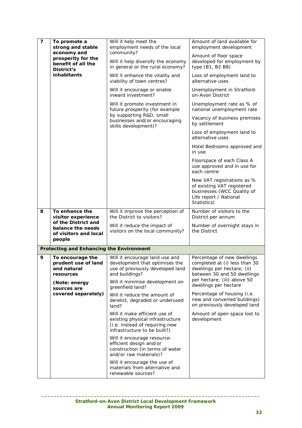| $\overline{\mathbf{z}}$ | To promote a<br>strong and stable                                            | Will it help meet the<br>employment needs of the local<br>community?                                                                                      | Amount of land available for<br>employment development                                                                                                    |
|-------------------------|------------------------------------------------------------------------------|-----------------------------------------------------------------------------------------------------------------------------------------------------------|-----------------------------------------------------------------------------------------------------------------------------------------------------------|
|                         | economy and<br>prosperity for the<br>benefit of all the<br><b>District's</b> | Will it help diversify the economy<br>in general or the rural economy?                                                                                    | Amount of floor space<br>developed for employment by<br>type (B1, B2 B8)                                                                                  |
|                         | <b>inhabitants</b>                                                           | Will it enhance the vitality and<br>viability of town centres?                                                                                            | Loss of employment land to<br>alternative uses                                                                                                            |
|                         |                                                                              | Will it encourage or enable<br>inward investment?                                                                                                         | Unemployment in Stratford-<br>on-Avon District                                                                                                            |
|                         |                                                                              | Will it promote investment in<br>future prosperity (for example                                                                                           | Unemployment rate as % of<br>national unemployment rate                                                                                                   |
|                         |                                                                              | by supporting R&D, small<br>businesses and/or encouraging<br>skills development)?                                                                         | Vacancy of business premises<br>by settlement                                                                                                             |
|                         |                                                                              |                                                                                                                                                           | Loss of employment land to<br>alternative uses                                                                                                            |
|                         |                                                                              |                                                                                                                                                           | Hotel Bedrooms approved and<br>in use                                                                                                                     |
|                         |                                                                              |                                                                                                                                                           | Floorspace of each Class A<br>use approved and in use for<br>each centre                                                                                  |
|                         |                                                                              |                                                                                                                                                           | New VAT registrations as %<br>of existing VAT registered<br>businesses (WCC Quality of<br>Life report / National<br>Statistics)                           |
| 8                       | To enhance the<br>visitor experience                                         | Will it improve the perception of<br>the District to visitors?                                                                                            | Number of visitors to the<br>District per annum                                                                                                           |
|                         | of the District and<br>balance the needs<br>of visitors and local            | Will it reduce the impact of<br>visitors on the local community?                                                                                          | Number of overnight stays in<br>the District                                                                                                              |
|                         | people                                                                       |                                                                                                                                                           |                                                                                                                                                           |
|                         | Protecting and Enhancing the Environment                                     |                                                                                                                                                           |                                                                                                                                                           |
| 9                       | To encourage the<br>prudent use of land<br>and natural<br>resources          | Will it encourage land use and<br>development that optimises the<br>use of previously developed land<br>and buildings?<br>Will it minimise development on | Percentage of new dwellings<br>completed at (i) less than 30<br>dwellings per hectare; (ii)<br>between 30 and 50 dwellings<br>per hectare; (iii) above 50 |
|                         | (Note: energy<br>sources are                                                 | greenfield land?                                                                                                                                          | dwellings per hectare                                                                                                                                     |
|                         | covered separately)                                                          | Will it reduce the amount of<br>derelict, degraded or underused<br>land?                                                                                  | Percentage of housing (i.e.<br>new and converted buildings)<br>on previously developed land                                                               |
|                         |                                                                              | Will it make efficient use of<br>existing physical infrastructure<br>(i.e. instead of requiring new<br>infrastructure to be built?)                       | Amount of open space lost to<br>development                                                                                                               |
|                         |                                                                              | Will it encourage resource-<br>efficient design and/or<br>construction (in terms of water<br>and/or raw materials)?                                       |                                                                                                                                                           |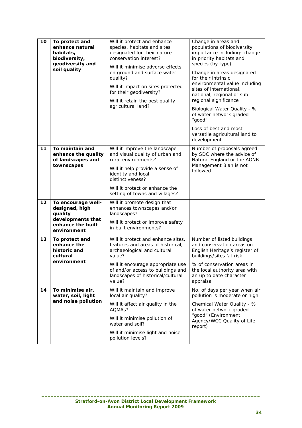| 10 | To protect and<br>enhance natural<br>habitats,<br>biodiversity,<br>geodiversity and<br>soil quality      | Will it protect and enhance<br>species, habitats and sites<br>designated for their nature<br>conservation interest?<br>Will it minimise adverse effects<br>on ground and surface water<br>quality?<br>Will it impact on sites protected<br>for their geodiversity?<br>Will it retain the best quality<br>agricultural land? | Change in areas and<br>populations of biodiversity<br>importance including: change<br>in priority habitats and<br>species (by type)<br>Change in areas designated<br>for their intrinsic<br>environmental value including<br>sites of international,<br>national, regional or sub<br>regional significance<br>Biological Water Quality - %<br>of water network graded<br>"good"<br>Loss of best and most<br>versatile agricultural land to<br>development |
|----|----------------------------------------------------------------------------------------------------------|-----------------------------------------------------------------------------------------------------------------------------------------------------------------------------------------------------------------------------------------------------------------------------------------------------------------------------|-----------------------------------------------------------------------------------------------------------------------------------------------------------------------------------------------------------------------------------------------------------------------------------------------------------------------------------------------------------------------------------------------------------------------------------------------------------|
| 11 | To maintain and<br>enhance the quality<br>of landscapes and<br>townscapes                                | Will it improve the landscape<br>and visual quality of urban and<br>rural environments?<br>Will it help provide a sense of<br>identity and local<br>distinctiveness?<br>Will it protect or enhance the<br>setting of towns and villages?                                                                                    | Number of proposals agreed<br>by SDC where the advice of<br>Natural England or the AONB<br>Management Blan is not<br>followed                                                                                                                                                                                                                                                                                                                             |
| 12 | To encourage well-<br>designed, high<br>quality<br>developments that<br>enhance the built<br>environment | Will it promote design that<br>enhances townscapes and/or<br>landscapes?<br>Will it protect or improve safety<br>in built environments?                                                                                                                                                                                     |                                                                                                                                                                                                                                                                                                                                                                                                                                                           |
| 13 | To protect and<br>enhance the<br>historic and<br>cultural<br>environment                                 | Will it protect and enhance sites,<br>features and areas of historical,<br>archaeological and cultural<br>value?<br>Will it encourage appropriate use<br>of and/or access to buildings and<br>landscapes of historical/cultural<br>value?                                                                                   | Number of listed buildings<br>and conservation areas on<br>English Heritage's register of<br>buildings/sites 'at risk'<br>% of conservation areas in<br>the local authority area with<br>an up to date character<br>appraisal                                                                                                                                                                                                                             |
| 14 | To minimise air,<br>water, soil, light<br>and noise pollution                                            | Will it maintain and improve<br>local air quality?<br>Will it affect air quality in the<br>AQMA <sub>s</sub> ?<br>Will it minimise pollution of<br>water and soil?<br>Will it minimise light and noise<br>pollution levels?                                                                                                 | No. of days per year when air<br>pollution is moderate or high<br>Chemical Water Quality - %<br>of water network graded<br>"good" (Environment<br>Agency/WCC Quality of Life<br>report)                                                                                                                                                                                                                                                                   |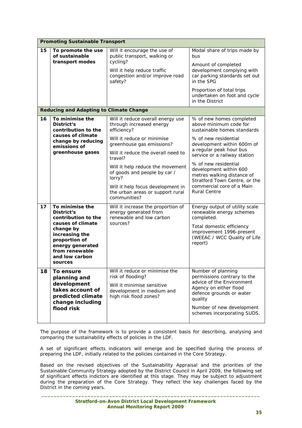|    | <b>Promoting Sustainable Transport</b>                                                                                                                                                       |                                                                                                                                                                                                                                                                                                                                                                 |                                                                                                                                                                                                                                                                                                                                                                  |
|----|----------------------------------------------------------------------------------------------------------------------------------------------------------------------------------------------|-----------------------------------------------------------------------------------------------------------------------------------------------------------------------------------------------------------------------------------------------------------------------------------------------------------------------------------------------------------------|------------------------------------------------------------------------------------------------------------------------------------------------------------------------------------------------------------------------------------------------------------------------------------------------------------------------------------------------------------------|
| 15 | To promote the use<br>of sustainable<br>transport modes                                                                                                                                      | Will it encourage the use of<br>public transport, walking or<br>cycling?<br>Will it help reduce traffic<br>congestion and/or improve road<br>safety?                                                                                                                                                                                                            | Modal share of trips made by<br>bus<br>Amount of completed<br>development complying with<br>car parking standards set out<br>in the SPG<br>Proportion of total trips<br>undertaken on foot and cycle<br>in the District                                                                                                                                          |
|    | <b>Reducing and Adapting to Climate Change</b>                                                                                                                                               |                                                                                                                                                                                                                                                                                                                                                                 |                                                                                                                                                                                                                                                                                                                                                                  |
| 16 | To minimise the<br>District's<br>contribution to the<br>causes of climate<br>change by reducing<br>emissions of<br>greenhouse gases                                                          | Will it reduce overall energy use<br>through increased energy<br>efficiency?<br>Will it reduce or minimise<br>greenhouse gas emissions?<br>Will it reduce the overall need to<br>travel?<br>Will it help reduce the movement<br>of goods and people by car /<br>lorry?<br>Will it help focus development in<br>the urban areas or support rural<br>communities? | % of new homes completed<br>above minimum code for<br>sustainable homes standards<br>% of new residential<br>development within 600m of<br>a regular peak hour bus<br>service or a railway station<br>% of new residential<br>development within 600<br>metres walking distance of<br>Stratford Town Centre, or the<br>commercial core of a Main<br>Rural Centre |
| 17 | To minimise the<br>District's<br>contribution to the<br>causes of climate<br>change by<br>increasing the<br>proportion of<br>energy generated<br>from renewable<br>and low carbon<br>sources | Will it increase the proportion of<br>energy generated from<br>renewable and low carbon<br>sources?                                                                                                                                                                                                                                                             | Energy output of utility scale<br>renewable energy schemes<br>completed.<br>Total domestic efficiency<br>improvement 1996-present<br>(WEEAC / WCC Quality of Life<br>report)                                                                                                                                                                                     |
| 18 | To ensure<br>planning and<br>development<br>takes account of<br>predicted climate<br>change including<br>flood risk                                                                          | Will it reduce or minimise the<br>risk of flooding?<br>Will it minimise sensitive<br>development in medium and<br>high risk flood zones?                                                                                                                                                                                                                        | Number of planning<br>permissions contrary to the<br>advice of the Environment<br>Agency on either flood<br>defence grounds or water<br>quality<br>Number of new development<br>schemes incorporating SUDS.                                                                                                                                                      |

The purpose of the framework is to provide a consistent basis for describing, analysing and comparing the sustainability effects of policies in the LDF.

A set of significant effects indicators will emerge and be specified during the process of preparing the LDF, initially related to the policies contained in the Core Strategy.

Based on the revised objectives of the Sustainability Appraisal and the priorities of the Sustainable Community Strategy adopted by the District Council in April 2009, the following set of significant effects indictors are identified at this stage. They may be subject to adjustment during the preparation of the Core Strategy. They reflect the key challenges faced by the District in the coming years.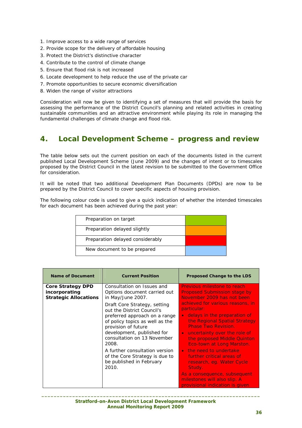- 1. Improve access to a wide range of services
- 2. Provide scope for the delivery of affordable housing
- 3. Protect the District's distinctive character
- 4. Contribute to the control of climate change
- 5. Ensure that flood risk is not increased
- 6. Locate development to help reduce the use of the private car
- 7. Promote opportunities to secure economic diversification
- 8. Widen the range of visitor attractions

Consideration will now be given to identifying a set of measures that will provide the basis for assessing the performance of the District Council's planning and related activities in creating sustainable communities and an attractive environment while playing its role in managing the fundamental challenges of climate change and flood risk.

## **4. Local Development Scheme – progress and review**

The table below sets out the current position on each of the documents listed in the current published Local Development Scheme (June 2009) and the changes of intent or to timescales proposed by the District Council in the latest revision to be submitted to the Government Office for consideration.

It will be noted that two additional Development Plan Documents (DPDs) are now to be prepared by the District Council to cover specific aspects of housing provision.

The following colour code is used to give a quick indication of whether the intended timescales for each document has been achieved during the past year:

| Preparation on target            |  |
|----------------------------------|--|
| Preparation delayed slightly     |  |
| Preparation delayed considerably |  |
| New document to be prepared      |  |

| <b>Name of Document</b>                                                   | <b>Current Position</b>                                                                                                                                                                                                                                                                                        | <b>Proposed Change to the LDS</b>                                                                                                                                                                                                                                                                                                           |
|---------------------------------------------------------------------------|----------------------------------------------------------------------------------------------------------------------------------------------------------------------------------------------------------------------------------------------------------------------------------------------------------------|---------------------------------------------------------------------------------------------------------------------------------------------------------------------------------------------------------------------------------------------------------------------------------------------------------------------------------------------|
| <b>Core Strategy DPD</b><br>incorporating<br><b>Strategic Allocations</b> | Consultation on Issues and<br>Options document carried out<br>in May/June 2007.<br>Draft Core Strategy, setting<br>out the District Council's<br>preferred approach on a range<br>of policy topics as well as the<br>provision of future<br>development, published for<br>consultation on 13 November<br>2008. | Previous milestone to reach<br><b>Proposed Submission stage by</b><br>November 2009 has not been<br>achieved for various reasons, in<br>particular:<br>delays in the preparation of<br>$\bullet$<br>the Regional Spatial Strategy<br><b>Phase Two Revision.</b><br>uncertainty over the role of<br>$\bullet$<br>the proposed Middle Quinton |
|                                                                           | A further consultation version<br>of the Core Strategy is due to<br>be published in February<br>2010.                                                                                                                                                                                                          | Eco-town at Long Marston.<br>the need to undertake<br>$\bullet$<br>further critical areas of<br>research, eq. Water Cycle<br>Study.<br>As a consequence, subsequent<br>milestones will also slip. A<br>provisional indication is given                                                                                                      |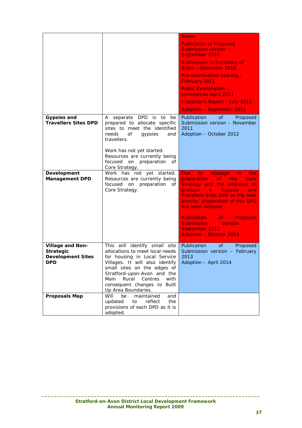|                                                                                |                                                                                                                                                                                                                                                                                             | below:                                                                                                                                                                                                                                                                                                                                                                                        |
|--------------------------------------------------------------------------------|---------------------------------------------------------------------------------------------------------------------------------------------------------------------------------------------------------------------------------------------------------------------------------------------|-----------------------------------------------------------------------------------------------------------------------------------------------------------------------------------------------------------------------------------------------------------------------------------------------------------------------------------------------------------------------------------------------|
|                                                                                |                                                                                                                                                                                                                                                                                             | <b>Publication of Proposed</b><br>Submission version -<br>September 2010                                                                                                                                                                                                                                                                                                                      |
|                                                                                |                                                                                                                                                                                                                                                                                             | <b>Submission to Secretary of</b><br>State - December 2010                                                                                                                                                                                                                                                                                                                                    |
|                                                                                |                                                                                                                                                                                                                                                                                             | Pre-examination hearing -<br><b>February 2011</b>                                                                                                                                                                                                                                                                                                                                             |
|                                                                                |                                                                                                                                                                                                                                                                                             | <b>Public Examination -</b><br>commences April 2011                                                                                                                                                                                                                                                                                                                                           |
|                                                                                |                                                                                                                                                                                                                                                                                             | <b>Inspector's Report - July 2011</b>                                                                                                                                                                                                                                                                                                                                                         |
|                                                                                |                                                                                                                                                                                                                                                                                             | <b>Adoption - September 2011</b>                                                                                                                                                                                                                                                                                                                                                              |
| <b>Gypsies and</b><br><b>Travellers Sites DPD</b>                              | A separate DPD is to<br>be<br>prepared to allocate specific<br>sites to meet the identified<br>needs<br>of<br>gypsies<br>and<br>travellers.                                                                                                                                                 | <b>of</b><br>Publication<br>Proposed<br>Submission version - November<br>2011<br>Adoption - October 2012                                                                                                                                                                                                                                                                                      |
|                                                                                | Work has not yet started.<br>Resources are currently being<br>focused on preparation of<br>Core Strategy.                                                                                                                                                                                   |                                                                                                                                                                                                                                                                                                                                                                                               |
| Development<br><b>Management DPD</b>                                           | Work has not yet started.<br>Resources are currently being<br>focused on preparation<br>of<br>Core Strategy.                                                                                                                                                                                | Due:<br>to<br>slippage<br>in.<br>the.<br>preparation<br>of<br>the:<br>Core<br>Strategy and the intention to<br>produce<br><b>Gypsies</b><br>and<br>$\mathbf{a}$<br><b>Travellers Sites DPD as the next</b><br>priority, preparation of this DPD<br>has been delayed:<br><b>Publication</b> of<br>Proposed<br><b>Submission</b><br>version<br>September 2012<br><b>Adoption - October 2013</b> |
| Village and Non-<br><b>Strategic</b><br><b>Development Sites</b><br><b>DPD</b> | This will identify small site<br>allocations to meet local needs<br>for housing in Local Service<br>Villages. It will also identify<br>small sites on the edges of<br>Stratford-upon-Avon and the<br>Rural<br>Centres<br>Main<br>with<br>consequent changes to Built<br>Up Area Boundaries. | <b>Publication</b><br>of<br>Proposed<br>Submission version - February<br>2013<br>Adoption - April 2014                                                                                                                                                                                                                                                                                        |
| <b>Proposals Map</b>                                                           | Will<br>be<br>maintained<br>and<br>updated<br>reflect<br>to<br>the<br>provisions of each DPD as it is<br>adopted.                                                                                                                                                                           |                                                                                                                                                                                                                                                                                                                                                                                               |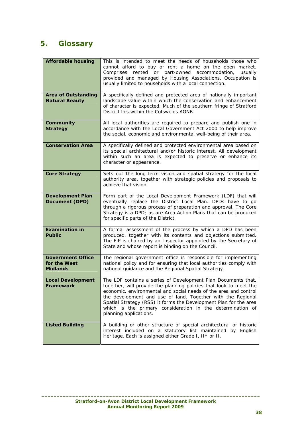# **5. Glossary**

| <b>Affordable housing</b>                                   | This is intended to meet the needs of households those who<br>cannot afford to buy or rent a home on the open market.<br>Comprises rented or part-owned accommodation,<br>usually<br>provided and managed by Housing Associations. Occupation is<br>usually limited to households with a local connection.                                                                                                                          |
|-------------------------------------------------------------|-------------------------------------------------------------------------------------------------------------------------------------------------------------------------------------------------------------------------------------------------------------------------------------------------------------------------------------------------------------------------------------------------------------------------------------|
| <b>Area of Outstanding</b><br><b>Natural Beauty</b>         | A specifically defined and protected area of nationally important<br>landscape value within which the conservation and enhancement<br>of character is expected. Much of the southern fringe of Stratford<br>District lies within the Cotswolds AONB.                                                                                                                                                                                |
| Community<br><b>Strategy</b>                                | All local authorities are required to prepare and publish one in<br>accordance with the Local Government Act 2000 to help improve<br>the social, economic and environmental well-being of their area.                                                                                                                                                                                                                               |
| <b>Conservation Area</b>                                    | A specifically defined and protected environmental area based on<br>its special architectural and/or historic interest. All development<br>within such an area is expected to preserve or enhance its<br>character or appearance.                                                                                                                                                                                                   |
| <b>Core Strategy</b>                                        | Sets out the long-term vision and spatial strategy for the local<br>authority area, together with strategic policies and proposals to<br>achieve that vision.                                                                                                                                                                                                                                                                       |
| <b>Development Plan</b><br><b>Document (DPD)</b>            | Form part of the Local Development Framework (LDF) that will<br>eventually replace the District Local Plan. DPDs have to go<br>through a rigorous process of preparation and approval. The Core<br>Strategy is a DPD; as are Area Action Plans that can be produced<br>for specific parts of the District.                                                                                                                          |
| <b>Examination in</b><br><b>Public</b>                      | A formal assessment of the process by which a DPD has been<br>produced, together with its contents and objections submitted.<br>The EiP is chaired by an Inspector appointed by the Secretary of<br>State and whose report is binding on the Council.                                                                                                                                                                               |
| <b>Government Office</b><br>for the West<br><b>Midlands</b> | The regional government office is responsible for implementing<br>national policy and for ensuring that local authorities comply with<br>national guidance and the Regional Spatial Strategy.                                                                                                                                                                                                                                       |
| <b>Local Development</b><br>Framework                       | The LDF contains a series of Development Plan Documents that,<br>together, will provide the planning policies that look to meet the<br>economic, environmental and social needs of the area and control<br>the development and use of land. Together with the Regional<br>Spatial Strategy (RSS) it forms the Development Plan for the area<br>which is the primary consideration in the determination of<br>planning applications. |
| <b>Listed Building</b>                                      | A building or other structure of special architectural or historic<br>interest included on a statutory list maintained by English<br>Heritage. Each is assigned either Grade I, II* or II.                                                                                                                                                                                                                                          |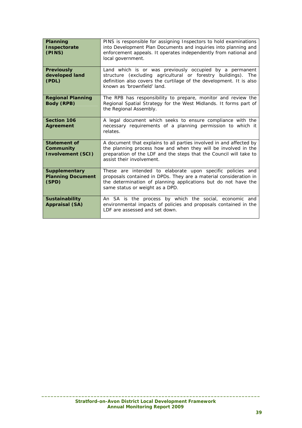| Planning<br>Inspectorate<br>(PINS)                           | PINS is responsible for assigning Inspectors to hold examinations<br>into Development Plan Documents and inquiries into planning and<br>enforcement appeals. It operates independently from national and<br>local government.            |
|--------------------------------------------------------------|------------------------------------------------------------------------------------------------------------------------------------------------------------------------------------------------------------------------------------------|
| <b>Previously</b><br>developed land<br>(PDL)                 | Land which is or was previously occupied by a permanent<br>structure (excluding agricultural or forestry buildings). The<br>definition also covers the curtilage of the development. It is also<br>known as 'brownfield' land.           |
| <b>Regional Planning</b><br><b>Body (RPB)</b>                | The RPB has responsibility to prepare, monitor and review the<br>Regional Spatial Strategy for the West Midlands. It forms part of<br>the Regional Assembly.                                                                             |
| <b>Section 106</b><br><b>Agreement</b>                       | A legal document which seeks to ensure compliance with the<br>necessary requirements of a planning permission to which it<br>relates.                                                                                                    |
| <b>Statement of</b><br>Community<br><b>Involvement (SCI)</b> | A document that explains to all parties involved in and affected by<br>the planning process how and when they will be involved in the<br>preparation of the LDF and the steps that the Council will take to<br>assist their involvement. |
| <b>Supplementary</b><br><b>Planning Document</b><br>(SPD)    | These are intended to elaborate upon specific policies and<br>proposals contained in DPDs. They are a material consideration in<br>the determination of planning applications but do not have the<br>same status or weight as a DPD.     |
| <b>Sustainability</b><br><b>Appraisal (SA)</b>               | An SA is the process by which the social, economic and<br>environmental impacts of policies and proposals contained in the<br>LDF are assessed and set down.                                                                             |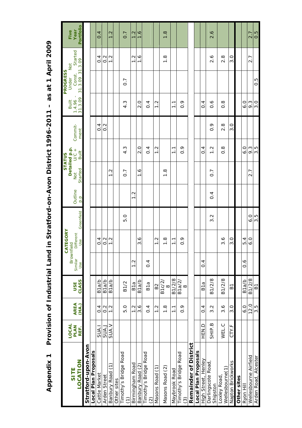| SITE                                   | <b>LOCAL</b><br><b>PLAN</b> | <b>AREA</b>          | USE                   | Brownfield<br>Similar | CATEGORY<br>Different |                  | Outline        | <b>Detailed p.p.</b><br>ot U/C +<br>Not | <b>STATUS</b>       | Commit-          | T.<br>1.4.96<br>Built | <b>PROGRESS</b><br>Const.<br>Under | Started<br><b>Not</b> | Year<br>Five     |
|----------------------------------------|-----------------------------|----------------------|-----------------------|-----------------------|-----------------------|------------------|----------------|-----------------------------------------|---------------------|------------------|-----------------------|------------------------------------|-----------------------|------------------|
| LOCATION                               | REF.                        | (HA.)                | CLASS                 | Use                   | Use                   | Greenfield       | p.p            | Started                                 | Built               | ment             | 31.3.09               | $\overline{31}$ .<br>31.3.09       | .3.09                 | Portfolio        |
| Stratford-upon-Avon                    |                             |                      |                       |                       |                       |                  |                |                                         |                     |                  |                       |                                    |                       |                  |
| Local Plan Proposals                   |                             |                      |                       |                       |                       |                  |                |                                         |                     |                  |                       |                                    |                       |                  |
| Cattle Market                          | SUA.I                       | $\overline{0}$       | B <sub>1</sub> a/b    |                       | $\overline{0}$        |                  |                |                                         |                     | $\overline{0}$   |                       |                                    | $\frac{4}{1}$         | 4<br>ö           |
| Arden Street                           | <b>L'AUS</b>                | $0.\overline{2}$     | B <sub>1a</sub> /b    |                       | $\frac{2}{2}$         |                  |                |                                         |                     | $\frac{2}{2}$    |                       |                                    | $\frac{2}{0}$         |                  |
| É<br>Banbury Road                      | SUA.V                       | $\frac{2}{1}$        | B <sub>1a/b</sub>     |                       | $\overline{1}$ .<br>٣ |                  |                | $\frac{2}{1}$                           |                     |                  |                       |                                    | $\frac{2}{1}$         | 1.2              |
| Other sites                            |                             |                      |                       |                       |                       |                  |                |                                         |                     |                  |                       |                                    |                       |                  |
| Timothy's Bridge Road<br>F             |                             | 5.0                  | <b>B1/2</b>           |                       |                       | 5.0              |                | $\overline{0}$ .                        | Š.<br>4             |                  | S<br>4                | $\overline{0}$ .                   |                       | 0.7              |
| Birmingham Road                        |                             | $\frac{2}{1}$        | B <sub>1a</sub>       | $\frac{2}{1}$         |                       |                  | $\frac{2}{1}$  |                                         |                     |                  |                       |                                    | $\frac{2}{1}$         | 1.2              |
| Banbury Road (2)                       |                             | 3.6                  | B <sub>1</sub> a/b    |                       | $\frac{6}{3}$         |                  |                | $\frac{6}{1}$                           | $\frac{0}{2}$       |                  | $\frac{0}{2}$         |                                    | $\frac{6}{1}$         | $\frac{6}{1}$    |
| Timothy's Bridge Road<br>ି             |                             | $\overline{0}.4$     | B1a                   | 0.4                   |                       |                  |                |                                         | $\overline{0}$ .    |                  | $\overline{0}.4$      |                                    |                       |                  |
| Masons Road (1)                        |                             | Σ.<br>$\overline{ }$ | B <sub>2</sub>        |                       | $\ddot{\Omega}$<br>٣  |                  |                |                                         | Ņ<br>$\overline{ }$ |                  | Σ.<br>$\overline{ }$  |                                    |                       |                  |
| Masons Road (2)                        |                             | $\frac{8}{1}$        | B1c/2<br>${}^{\circ}$ |                       | $\frac{8}{1}$         |                  |                | $\frac{8}{1}$                           |                     |                  |                       |                                    | $\frac{8}{1}$         | $\frac{8}{1}$    |
| Maybrook Road                          |                             | $\overline{1}$ .     | B1/2/8                |                       | $\overline{1}$        |                  |                |                                         | $\overline{1}$      |                  | $\overline{1}$        |                                    |                       |                  |
| Timothy's Bridge Road<br>$\widehat{c}$ |                             | $\frac{6}{10}$       | B1a/2<br>$\infty$     |                       | $\frac{6}{10}$        |                  |                |                                         | $\frac{6}{10}$      |                  | $\frac{6}{10}$        |                                    |                       |                  |
| Remainder of District                  |                             |                      |                       |                       |                       |                  |                |                                         |                     |                  |                       |                                    |                       |                  |
| Local Plan Proposals                   |                             |                      |                       |                       |                       |                  |                |                                         |                     |                  |                       |                                    |                       |                  |
| High Street, Henley                    | <b>HEN.D</b>                | $\frac{4}{1}$        | B <sub>1a</sub>       | $\overline{0}$        |                       |                  |                |                                         | $\overline{0}$      |                  | $\overline{0}$ .      |                                    |                       |                  |
| Darlingscote Road<br>Shipston          | SHIP.B                      | $3.\overline{2}$     | B1/2/8                |                       |                       | $\frac{2}{3}$    | $\overline{0}$ | $\overline{0}$ .                        | Ņ<br>$\overline{ }$ | $\frac{6}{2}$    | $\frac{6}{10}$        |                                    | $\frac{6}{2}$         | 2.6              |
| Wellesbourne(1)<br>Loxley Road,        | WEL.C                       | $3.\overline{6}$     | B1/2/8                |                       | $\frac{6}{3}$         |                  |                |                                         | $\frac{8}{2}$       | $2.\overline{8}$ | $\frac{8}{2}$         |                                    | $2.\overline{8}$      |                  |
| Napton Brickworks                      | CTY.F                       | $\overline{3}$ .0    | $\overline{B}$        |                       | 3.0                   |                  |                |                                         |                     | 3.0              |                       |                                    | $\frac{0}{3}$         |                  |
| Other sites                            |                             |                      |                       |                       |                       |                  |                |                                         |                     |                  |                       |                                    |                       |                  |
| Rvon Hill                              |                             | 6.0                  | B <sub>1a/b</sub>     | $\frac{6}{10}$        | 5.4                   |                  |                |                                         | $\frac{0}{6}$       |                  | 6.0                   |                                    |                       |                  |
| Wellesbourne Airfield                  |                             | 12.0                 | B1/2/8                |                       | 6.0                   | $\frac{0}{6}$    |                | 2.7                                     | 9.3                 |                  | 9.3                   |                                    | 2.7                   | 2.7              |
| Arden Road, Alcester                   |                             | 3.5                  | $\overline{B}$        |                       |                       | $3.\overline{5}$ |                |                                         | $3.\overline{5}$    |                  | 3.0                   | $0.\overline{5}$                   |                       | $0.\overline{5}$ |

**Appendix 1 Provision of Industrial Land in Stratford-on-Avon District 1996-2011 – as at 1 April 2009**  Provision of Industrial Land in Stratford-on-Avon District 1996-2011 - as at 1 April 2009 **Appendix 1**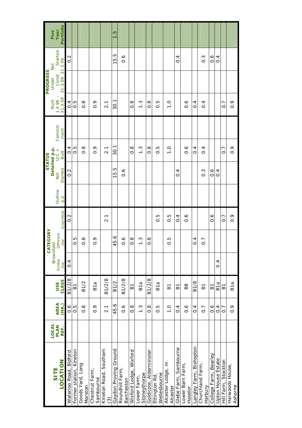|                                      | LOCAL        |                      |                     | Brownfield       | CATEGORY       |                  |         | Detailed p.p.    | <b>STATUS</b>    |                 | Built             | <b>PROGRESS</b><br>Under  | Not               | Five                     |
|--------------------------------------|--------------|----------------------|---------------------|------------------|----------------|------------------|---------|------------------|------------------|-----------------|-------------------|---------------------------|-------------------|--------------------------|
| LOCATION<br>SITE                     | PLAN<br>REF. | <b>AREA</b><br>(HA.) | CLASS<br><b>USE</b> | Similar<br>Use   | Different      | Greenfield       | Outline | Started<br>Not   | $U$ C +<br>Built | Commit-<br>ment | 31.3.09<br>1.4.96 | 31.3.09 31.3.09<br>Const. | Started           | Portfolio<br>Year        |
| Waterloo Road, Bidford               |              | $0.\overline{6}$     | B1/2/8              | 0.4              | Use            | $\frac{2}{3}$    | p.p     | $\frac{2}{0}$    | 0.4              |                 | 0.4               |                           | $\overline{0}$ .  |                          |
| Former station, Kineton              |              | $\frac{5}{0}$        | 61                  |                  | 0.5            |                  |         |                  | 0.5              |                 | $0.\overline{5}$  |                           |                   |                          |
| Goods Yard, Long<br>Marston          |              | $\frac{8}{2}$        | <b>B1/2</b>         |                  | $\frac{8}{2}$  |                  |         |                  | $\frac{8}{2}$    |                 | $\frac{8}{2}$     |                           |                   |                          |
| Chestnut Farm,<br>Sambourne          |              | $\frac{6}{10}$       | B1a                 |                  | $\frac{6}{10}$ |                  |         |                  | $\frac{6}{10}$   |                 | $\frac{6}{10}$    |                           |                   |                          |
| Kineton Road, Southam<br>ල           |              | $\overline{2}$ .     | B1/2/8              |                  |                | 2.1              |         |                  | 2.1              |                 | 2.1               |                           |                   |                          |
| Gaydon Proving Ground                |              | 45.6                 | B1/2                |                  | 45.6           |                  |         | 15.5             | 30.1             |                 | 30.1              |                           | 15.5              | c<br>C<br>$\overline{ }$ |
| Roundhill Farm,<br><b>Barcheston</b> |              | $0.\overline{6}$     | B1/2/8              |                  | $\frac{6}{1}$  |                  |         | $\frac{6}{1}$    |                  |                 |                   |                           | $\frac{6}{1}$     |                          |
| Wixford Lodge, Wixford               |              | $\frac{8}{2}$        | 61                  |                  | $\frac{8}{10}$ |                  |         |                  | $\frac{8}{2}$    |                 | $\frac{8}{2}$     |                           |                   |                          |
| Stoneythorpe<br>Lower Farm,          |              | $\frac{3}{2}$        | B <sub>1a</sub>     |                  | $\frac{3}{1}$  |                  |         |                  | $\frac{3}{1}$    |                 | $\frac{3}{1}$     |                           |                   |                          |
| Goldicote, Alderminster              |              | $\frac{8}{2}$        | B1/2/8              |                  | 8.O            |                  |         |                  | 8.O              |                 | 8.O               |                           |                   |                          |
| Wellesbourne<br>Ettington Rd,        |              | 0.5                  | B1a                 |                  |                | $0.\overline{5}$ |         |                  | $0.\overline{5}$ |                 | 0.5               |                           |                   |                          |
| Alcester Lodge, nr.<br>Alcester      |              | $\frac{0}{1}$        | $\overline{B}$      |                  | Ю<br>O         | 0.5              |         |                  | $\frac{0}{1}$    |                 | $\frac{0}{1}$     |                           |                   |                          |
| Glebe Farm, Sambourne                |              | $\overline{0}$ .     | 51                  |                  |                | $\frac{4}{1}$    |         | $\overline{0}$ . |                  |                 |                   |                           | $\overline{0}$ .4 |                          |
| Lower Barn Farm,<br>Haselor          |              | $\frac{6}{1}$        | <b>B8</b>           |                  |                | $\sim 0$         |         |                  | $\frac{6}{10}$   |                 | $\frac{6}{1}$     |                           |                   |                          |
| Langley Farm, Bishopton              |              | $\frac{4}{1}$        | <b>B1/8</b>         |                  | $\frac{4}{1}$  |                  |         |                  | $\overline{0}$   |                 | $\frac{4}{1}$     |                           |                   |                          |
| Churchland Farm,<br>Harbury          |              | $\overline{0}$ .     | $\overline{B}$      |                  | $\overline{0}$ |                  |         | ი<br>0.          | $\frac{4}{1}$    |                 | $\overline{0}$ .  |                           | $\frac{3}{2}$     |                          |
| College Farm, Bearley                |              | $\frac{6}{10}$       | 61                  |                  |                | $\frac{6}{10}$   |         | $\frac{6}{1}$    |                  |                 |                   |                           | $0.\overline{6}$  |                          |
| Upton House Estate                   |              | 0.4                  | B1a                 | $\overline{0}$ . |                |                  |         | 0.4              |                  |                 |                   |                           | 0.4               |                          |
| Hill Farm, Stockton                  |              | $\overline{0}$       | 은                   |                  |                | $\overline{0}$ . |         |                  | $\overline{0}$ . |                 | $\overline{0}$    |                           |                   |                          |
| Harwoods House,<br>Ashorne           |              | $0.\overline{9}$     | B <sub>1a</sub>     |                  |                | $\frac{6}{2}$    |         |                  | $0.\overline{9}$ |                 | $0.\overline{9}$  |                           |                   |                          |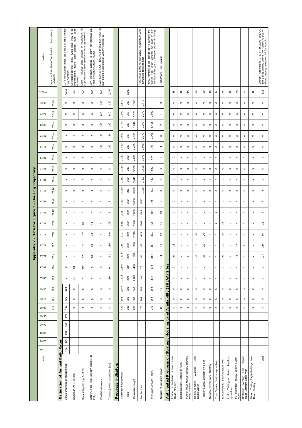|                                                | <b>Notes</b>   | ∾.<br>Base date<br>Two Revision.<br>Years in RSS Phase<br>1-4-2006. |                                   | Phase<br><b>RSS</b><br>đ<br>date<br>completions since base<br>1048 completi<br>Two Revision | no be<br>been<br>Estimated take-up rates. Sites least likely<br>implemented during plan period have<br>implemented | đ<br>Ditto. Includes sites subject to resolutions<br>support pending completion of legal agreements. | 15% discount applied to allow for non-take-up.<br>From the SHLAA 2009 Review. | đ<br>Rate from SHLAA. Confined to last five years<br>plan period in accordance with PPS3 para. 59. |                                   |                                                     |                                 |                     |                                | and<br>Difference between cumulative completions<br>cumulative target to date | What remains to be completed to achieve the<br>overall RSS target annually for each of the<br>overall RSS target annually for each of the<br>number of the years of the plan period remaining | RSS Phase Two Revision       |                                     |                                                      |                                  |                                                      |                                                       |                                   |                                |                                  |                                   |                                                   |                                             |                                                                         |                                                      | Source: Appendices E & F of 2009 SHLAA.<br>Some sites omitted where now subject to p.p. or<br>where capacity now too small for inclusion. |
|------------------------------------------------|----------------|---------------------------------------------------------------------|-----------------------------------|---------------------------------------------------------------------------------------------|--------------------------------------------------------------------------------------------------------------------|------------------------------------------------------------------------------------------------------|-------------------------------------------------------------------------------|----------------------------------------------------------------------------------------------------|-----------------------------------|-----------------------------------------------------|---------------------------------|---------------------|--------------------------------|-------------------------------------------------------------------------------|-----------------------------------------------------------------------------------------------------------------------------------------------------------------------------------------------|------------------------------|-------------------------------------|------------------------------------------------------|----------------------------------|------------------------------------------------------|-------------------------------------------------------|-----------------------------------|--------------------------------|----------------------------------|-----------------------------------|---------------------------------------------------|---------------------------------------------|-------------------------------------------------------------------------|------------------------------------------------------|-------------------------------------------------------------------------------------------------------------------------------------------|
|                                                | <b>alstoT</b>  |                                                                     |                                   | 4,013                                                                                       | 268                                                                                                                | 648                                                                                                  | 266                                                                           | 900                                                                                                | 2,082                             |                                                     |                                 | 5,600               |                                |                                                                               |                                                                                                                                                                                               |                              |                                     | 35                                                   | \$                               | 15                                                   | ೫                                                     | SO                                | $\tilde{0}$                    | $\ddot{a}$                       | 75                                | 15                                                | 25                                          | $\infty$                                                                | $\frac{8}{2}$                                        | 313                                                                                                                                       |
|                                                | <b>25/26</b>   | Yr 20                                                               |                                   | $\circ$                                                                                     | $\circ$                                                                                                            | $\circ$                                                                                              | $\circ$                                                                       | 180                                                                                                | 180                               |                                                     | 3,130                           | 280                 | 5,600                          | 2,470                                                                         |                                                                                                                                                                                               | $\circ$                      |                                     | $\circ$                                              | $\circ$                          | $\circ$                                              | $\circ$                                               | $\circ$                           | $\circ$                        | $\circ$                          | $\circ$                           | $\circ$                                           | $\circ$                                     | $\circ$                                                                 | $\circ$                                              | $\circ$                                                                                                                                   |
|                                                | <b>24/25</b>   | Yr19                                                                |                                   | $\circ$                                                                                     | $\circ$                                                                                                            | $\circ$                                                                                              | $\circ$                                                                       | 180                                                                                                | 180                               |                                                     | 2,950                           | 280                 | 5,320                          | 2,370                                                                         | 2,650                                                                                                                                                                                         | $\overline{\phantom{0}}$     |                                     | $\circ$                                              | $\circ$                          | $\circ$                                              | $\circ$                                               | $\circ$                           | $\circ$                        | $\circ$                          | $\circ$                           | $\circ$                                           | $\circ$                                     | $\circ$                                                                 | $\circ$                                              | $\circ$                                                                                                                                   |
|                                                | 23/24          | $\frac{8}{3}$<br>$\,\dot{\succ}$                                    |                                   | $\circ$                                                                                     | $\circ$                                                                                                            | $\circ$                                                                                              | $\circ$                                                                       | 180                                                                                                | 180                               |                                                     | 2,770                           | 280                 | 5,040                          | 2,270                                                                         | 1,415                                                                                                                                                                                         | $\sim$                       |                                     | $\circ$                                              | $\circ$                          | $\circ$                                              | $\circ$                                               | $\circ$                           | $\circ$                        | $\circ$                          | $\circ$                           | $\circ$                                           | $\circ$                                     | $\circ$                                                                 | $\circ$                                              | $\circ$                                                                                                                                   |
|                                                | 22/23          | Yr 17                                                               |                                   | $\circ$                                                                                     | $\circ$                                                                                                            | $\circ$                                                                                              | $\circ$                                                                       | 180                                                                                                | 180                               |                                                     | 2,590                           | 280                 | 4,760                          | 2,170                                                                         | 1,003                                                                                                                                                                                         | S                            |                                     | $\circ$                                              | $\circ$                          | $\circ$                                              | $\circ$                                               | $\circ$                           | $\circ$                        | $\circ$                          | $\circ$                           | $\circ$                                           | $\circ$                                     | $\circ$                                                                 | $\circ$                                              | $\circ$                                                                                                                                   |
|                                                | 21/22          | Yr 16                                                               |                                   | $\circ$                                                                                     | $\circ$                                                                                                            | $\circ$                                                                                              | $\circ$                                                                       | 180                                                                                                | 180                               |                                                     | 2,410                           | 280                 | 4,480                          | 2,070                                                                         | 797                                                                                                                                                                                           | 4                            |                                     | $\circ$                                              | $\circ$                          | $\circ$                                              | $\circ$                                               | $\circ$                           | $\circ$                        | $\circ$                          | $\circ$                           | $\circ$                                           | $\circ$                                     | $\circ$                                                                 | $\circ$                                              | $\circ$                                                                                                                                   |
|                                                | 20/21          | 45<br>$\overline{\succ}$                                            |                                   | $\circ$                                                                                     | $\circ$                                                                                                            | $\circ$                                                                                              | $\circ$                                                                       | $\circ$                                                                                            | $\circ$                           |                                                     | 2,230                           | 280                 | 4,200                          | 1,970                                                                         | 674                                                                                                                                                                                           | 5                            |                                     | $\circ$                                              | $\circ$                          | $\circ$                                              | $\circ$                                               | $\circ$                           | $\circ$                        | $\circ$                          | $\circ$                           | $\circ$                                           | $\circ$                                     | $\circ$                                                                 | $\circ$                                              | $\circ$                                                                                                                                   |
|                                                | 19/20          | Yr14                                                                |                                   | $\circ$                                                                                     | $\circ$                                                                                                            | $\circ$                                                                                              | $\circ$                                                                       | $\circ$                                                                                            | $\circ$                           |                                                     | 2,230                           | 280                 | 3,920                          | 1,690                                                                         | 562                                                                                                                                                                                           | $\mathbf \omega$             |                                     | $\circ$                                              | $\circ$                          | $\circ$                                              | $\circ$                                               | $\circ$                           | $\circ$                        | $\circ$                          | $\circ$                           | $\circ$                                           | $\circ$                                     | $\circ$                                                                 | $\circ$                                              | $\circ$                                                                                                                                   |
| Trajectory                                     | 61/81          | $Yr$ 13                                                             |                                   | $\circ$                                                                                     | $\circ$                                                                                                            | $\circ$                                                                                              | $\circ$                                                                       | $\circ$                                                                                            | $\circ$                           |                                                     | 2,230                           | 280                 | 3,640                          | 1,410                                                                         | 481                                                                                                                                                                                           | $\overline{ }$               |                                     | $\circ$                                              | $\circ$                          | $\circ$                                              | $\circ$                                               | $\circ$                           | $\circ$                        | $\circ$                          | $\circ$                           | $\circ$                                           | $\circ$                                     | $\circ$                                                                 | $\circ$                                              | $\circ$                                                                                                                                   |
| <b>D</b><br>Housin<br>×.<br>᠇<br><b>Figure</b> | 8L/LL          | $\sim$<br>$\overline{\succ}$                                        |                                   | $\circ$                                                                                     | $\circ$                                                                                                            | $\circ$                                                                                              | $\overline{ }$                                                                | $\circ$                                                                                            | $\overline{ }$                    |                                                     | 30<br>$\frac{2}{3}$             | ⌒<br>$\overline{8}$ | 3,360                          | 1,130                                                                         | $\overline{4}$                                                                                                                                                                                | $\infty$                     |                                     | $\circ$                                              | $\circ$                          | $\circ$                                              | $\circ$                                               | $\circ$                           | $\circ$                        | $\circ$                          | $\circ$                           | $\infty$                                          | $\circ$                                     | $\circ$                                                                 | $\circ$                                              | $\infty$                                                                                                                                  |
|                                                | Ll/9l          | Ξ<br>$\overline{\succ}$                                             |                                   | $\circ$                                                                                     | $\circ$                                                                                                            | $\circ$                                                                                              | $\mathbf{\circ}$                                                              | $\circ$                                                                                            | $\circ$                           |                                                     | ,223<br>$\overline{\mathsf{N}}$ | 280                 | 3,080                          | $-857$                                                                        | 375                                                                                                                                                                                           | G                            |                                     | $\circ$                                              | $\circ$                          | $\circ$                                              | $\circ$                                               | $\circ$                           | $\circ$                        | $\circ$                          | $\circ$                           | $\overline{ }$                                    | $\circ$                                     | $\circ$                                                                 | $\circ$                                              | $\overline{\phantom{a}}$                                                                                                                  |
|                                                | 91/SL          | Yr 10                                                               |                                   | $\circ$                                                                                     | $\circ$                                                                                                            | $\circ$                                                                                              | $\mathbf{\circ}$                                                              | $\circ$                                                                                            | 6                                 |                                                     | 717<br>$\overline{\mathsf{N}}$  | 280                 | 2,800                          | -583                                                                          | 338                                                                                                                                                                                           | $\overline{c}$               |                                     | $\circ$                                              | $\circ$                          | $\circ$                                              | $\circ$                                               | $\circ$                           | $\circ$                        | $\overline{ }$                   | $\circ$                           | $\circ$                                           | $\circ$                                     | $\circ$                                                                 | $\circ$                                              | $\overline{ }$                                                                                                                            |
| <u>for</u>                                     | SUV            | ၜ<br>≿                                                              |                                   | $\circ$                                                                                     | $\circ$                                                                                                            | စ္<br>88                                                                                             | $\circ$                                                                       | 105                                                                                                |                                   | 2,211                                               | 280                             | 2,520               | -309                           | 308                                                                           | Ξ                                                                                                                                                                                             |                              | $\circ$                             | $\circ$                                              | $\circ$                          | $\circ$                                              | $\circ$                                               | $\circ$                           | $\overline{ }$                 | 15                               | $\circ$                           | $\circ$                                           | $\circ$                                     | $\circ$                                                                 | ଅ                                                    |                                                                                                                                           |
| <b>Data</b>                                    | <b>AMSM</b>    | $\infty$<br>≿                                                       |                                   | $\circ$                                                                                     | $\circ$                                                                                                            | 197                                                                                                  | $\mathfrak{S}$                                                                | $\circ$                                                                                            | 240                               |                                                     | 2,107                           | 280                 | 2,240                          | $-133$                                                                        | 291                                                                                                                                                                                           | $\overline{c}$               |                                     | $\circ$                                              | $\circ$                          | $\circ$                                              | $\tilde{c}$                                           | $\mathsf{S}$                      | $\circ$                        | $\circ$                          | ର                                 | $\circ$                                           | $\circ$                                     | $\circ$                                                                 | $\circ$                                              | SO,                                                                                                                                       |
| $\mathbf{\Omega}$                              | <b>SMST</b>    | ≿                                                                   |                                   | $\circ$                                                                                     | $\circ$                                                                                                            | $\frac{5}{2}$                                                                                        | 99                                                                            | $\circ$                                                                                            | 230                               |                                                     | .867                            | 280                 | 1,960                          | အို                                                                           | 287                                                                                                                                                                                           | $\frac{3}{2}$                |                                     | 5                                                    | თ                                | $\infty$                                             | $\overline{c}$                                        | 20                                | 5                              | $\circ$                          | 20                                | $\circ$                                           | $\tilde{c}$                                 | $\infty$                                                                | ၜ                                                    | 116                                                                                                                                       |
| Appendix                                       | ていいし           | ဖ<br>Σ                                                              |                                   | $\circ$                                                                                     | ო                                                                                                                  | 72                                                                                                   | 88                                                                            | $\circ$                                                                                            | 163                               |                                                     | 1,638                           | 280                 | 1,680                          | $-42$                                                                         | 283                                                                                                                                                                                           | $\dot{z}$                    |                                     | ನಿ                                                   | ၜ                                | $\overline{ }$                                       | $\mathrel{\mathsf{C}}$                                | 5                                 | 5                              | $\circ$                          | ର                                 | $\circ$                                           | చ                                           | $\circ$                                                                 | ၜ                                                    | 103                                                                                                                                       |
|                                                | $L/L$ /0 $L$   | 5<br>ょ                                                              |                                   | $\circ$                                                                                     | 2                                                                                                                  | 157                                                                                                  | $\circ$                                                                       | $\circ$                                                                                            | 241                               |                                                     | ,475                            | 280                 | 1,400                          | 75                                                                            | 275                                                                                                                                                                                           | 45                           | Site                                | $\circ$                                              | $\circ$                          | $\circ$                                              | $\circ$                                               | $\circ$                           | $\circ$                        | $\circ$                          | $\circ$                           | $\circ$                                           | $\circ$                                     | $\circ$                                                                 | $\circ$                                              | $\circ$                                                                                                                                   |
|                                                | 01/60          | 4<br>$\overline{\phantom{a}}$                                       |                                   | $\circ$                                                                                     | 181                                                                                                                | 5                                                                                                    | $\circ$                                                                       | $\circ$                                                                                            | 186                               |                                                     | 234                             | 280                 | 1,120                          | 114                                                                           | 273                                                                                                                                                                                           | $\frac{6}{5}$                | (SHLAA)                             | $\circ$                                              | $\circ$                          | $\circ$                                              | $\circ$                                               | $\circ$                           | $\circ$                        | $\circ$                          | $\circ$                           | $\circ$                                           | $\circ$                                     | $\circ$                                                                 | $\circ$                                              | $\circ$                                                                                                                                   |
|                                                | 60/80          | S<br>≿                                                              |                                   | 194                                                                                         | $\circ$                                                                                                            | $\circ$                                                                                              | $\circ$                                                                       | $\circ$                                                                                            | $\circ$                           | 1,048<br>840<br>280<br>854<br>280<br>560<br>$\circ$ |                                 |                     | 208                            | 268                                                                           | 47                                                                                                                                                                                            |                              | $\circ$                             | $\circ$                                              | $\circ$                          | $\circ$                                              | $\circ$                                               | $\circ$                           | $\circ$                        | $\circ$                          | $\circ$                           | $\circ$                                           | $\circ$                                     | $\circ$                                                                 | $\circ$                                              |                                                                                                                                           |
|                                                | 80/Z0          | $\sim$<br>≿                                                         |                                   | 401                                                                                         | $\circ$                                                                                                            | $\circ$                                                                                              | $\circ$                                                                       | $\circ$                                                                                            |                                   |                                                     | 294                             | 264                 | $\overset{\circ}{\phantom{a}}$ | Availability                                                                  | $\circ$                                                                                                                                                                                       | $\circ$                      | $\circ$                             | $\circ$                                              | $\circ$                          | $\circ$                                              | $\circ$                                               | $\circ$                           | $\circ$                        | $\circ$                          | $\circ$                           | $\circ$                                           | $\circ$                                     |                                                                         |                                                      |                                                                                                                                           |
|                                                | <b>Z0/90</b>   | $\overline{\phantom{0}}$<br>$\overline{\succ}$                      |                                   | 453                                                                                         | $\circ$                                                                                                            | $\circ$                                                                                              | $\circ$                                                                       | $\circ$                                                                                            | $\circ$                           |                                                     | 453                             | 280                 | 280                            | 173                                                                           | 271                                                                                                                                                                                           | $\overline{6}$               |                                     | $\circ$                                              | $\circ$                          | $\circ$                                              | $\circ$                                               | $\circ$                           | $\circ$                        | $\circ$                          | $\circ$                           | $\circ$                                           | $\circ$                                     | $\circ$                                                                 | $\circ$                                              | $\circ$                                                                                                                                   |
|                                                | 90/90          |                                                                     |                                   | 649                                                                                         |                                                                                                                    |                                                                                                      |                                                                               |                                                                                                    |                                   |                                                     |                                 |                     |                                |                                                                               |                                                                                                                                                                                               |                              | <b>Land</b>                         |                                                      |                                  |                                                      |                                                       |                                   |                                |                                  |                                   |                                                   |                                             |                                                                         |                                                      |                                                                                                                                           |
|                                                | 90/60<br>03/04 |                                                                     |                                   | 806                                                                                         |                                                                                                                    |                                                                                                      |                                                                               |                                                                                                    |                                   |                                                     |                                 |                     |                                |                                                                               |                                                                                                                                                                                               |                              | Housing                             |                                                      |                                  |                                                      |                                                       |                                   |                                |                                  |                                   |                                                   |                                             |                                                                         |                                                      |                                                                                                                                           |
|                                                | 02/03          |                                                                     |                                   | 602<br>436                                                                                  |                                                                                                                    |                                                                                                      |                                                                               |                                                                                                    |                                   |                                                     |                                 |                     |                                |                                                                               |                                                                                                                                                                                               |                              |                                     |                                                      |                                  |                                                      |                                                       |                                   |                                |                                  |                                   |                                                   |                                             |                                                                         |                                                      |                                                                                                                                           |
|                                                | <b>CO/LO</b>   |                                                                     | Rates                             | 172                                                                                         |                                                                                                                    |                                                                                                      |                                                                               |                                                                                                    |                                   |                                                     |                                 |                     |                                |                                                                               |                                                                                                                                                                                               |                              | trategic                            |                                                      |                                  |                                                      |                                                       |                                   |                                |                                  |                                   |                                                   |                                             |                                                                         |                                                      |                                                                                                                                           |
|                                                | Year           |                                                                     | <b>Estimation of Annual Build</b> | Actual dwellings completed (net)                                                            | Dwellings u/c 31-3-2009                                                                                            | Sites subject to p.p. 31-3-09                                                                        | $\overline{\mathbf{c}}$<br>subject<br>SHLAA sites (not already<br>p.p.)       | Windfall allowance                                                                                 | Total projected completions (net) | <b>Progress Indicators</b>                          | Cumulative completions          | Target              | Cumulative target              | Monitor Line                                                                  | Managed Delivery Target                                                                                                                                                                       | Number of years left in plan | ō<br><b>Anticipated Progress on</b> | Former St. Nicholas School, School<br>Road, Alcester | United Carriers, Bidford-on-Avon | Former River House School, Stratford<br>Road, Henley | Road,<br>Warwick<br>Henley-in-Arden,<br>Cattle Market | Tileman's Lane, Shipston-on-Stour | Nursery, Tavern Lane, Shottery | Town Square, Stratford-upon-Avon | Banbury Road, Stratford-upon-Avon | Stratford-<br>81-83 Tiddington Road,<br>upon-Avon | 80 Tiddington Road, Stratford-upon-<br>Avon | Clopton<br>Hall,<br>Brethrens Meeting Hall<br>Road, Stratford-upon-Avon | Namco Tooling, Eagle Buildings, New<br>Road, Studley | Totals                                                                                                                                    |